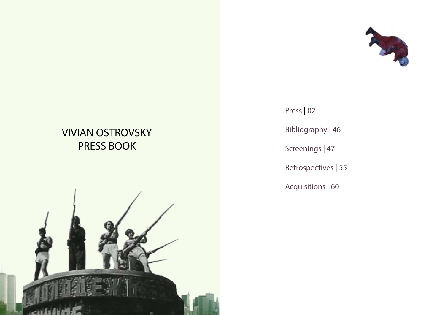# **VIVIAN OSTROVSKY** PRESS BOOK



# Press | 02

Bibliography | 46

Screenings | 47

Retrospectives | 55

Acquisitions | 60

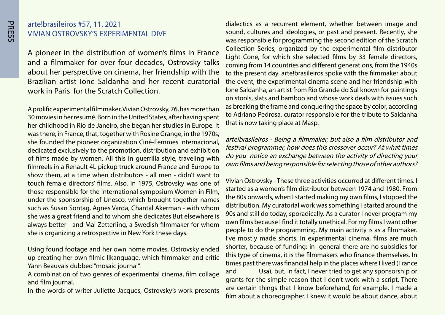#### arte!brasileiros #57, 11. 2021 VIVIAN OSTROVSKY'S EXPERIMENTAL DIVE

A pioneer in the distribution of women's films in France and a filmmaker for over four decades, Ostrovsky talks about her perspective on cinema, her friendship with the Brazilian artist Jone Saldanha and her recent curatorial work in Paris for the Scratch Collection.

A prolific experimental filmmaker, Vivian Ostrovsky, 76, has more than 30 movies in her resumé. Born in the United States, after having spent her childhood in Rio de Janeiro, she began her studies in Europe. It was there, in France, that, together with Rosine Grange, in the 1970s, she founded the pioneer organization Ciné-Femmes Internacional, dedicated exclusively to the promotion, distribution and exhibition of films made by women. All this in querrilla style, traveling with filmreels in a Renault 4L pickup truck around France and Europe to show them, at a time when distributors - all men - didn't want to touch female directors' films. Also, in 1975, Ostrovsky was one of those responsible for the international symposium Women in Film, under the sponsorship of Unesco, which brought together names such as Susan Sontag, Agnes Varda, Chantal Akerman - with whom she was a great friend and to whom she dedicates But elsewhere is always better - and Mai Zetterling, a Swedish filmmaker for whom she is organizing a retrospective in New York these days.

Using found footage and her own home movies, Ostrovsky ended up creating her own filmic llkanguage, which filmmaker and critic Yann Beauvais dubbed "mosaic journal".

A combination of two genres of experimental cinema, film collage and film journal.

In the words of writer Juliette Jacques, Ostrovsky's work presents

dialectics as a recurrent element, whether between image and sound, cultures and ideologies, or past and present. Recently, she was responsible for programming the second edition of the Scratch Collection Series, organized by the experimental film distributor Light Cone, for which she selected films by 33 female directors, coming from 14 countries and different generations, from the 1940s to the present day, arte!brasileiros spoke with the filmmaker about the event, the experimental cinema scene and her friendship with lone Saldanha, an artist from Rio Grande do Sul known for paintings on stools, slats and bamboo and whose work deals with issues such as breaking the frame and conquering the space by color, according to Adriano Pedrosa, curator responsible for the tribute to Saldanha that is now taking place at Masp.

arte!brasileiros - Being a filmmaker, but also a film distributor and festival programmer, how does this crossover occur? At what times do you notice an exchange between the activity of directing your own films and being responsible for selecting those of other authors?

Vivian Ostrovsky - These three activities occurred at different times. I started as a women's film distributor between 1974 and 1980. From the 80s onwards, when I started making my own films, I stopped the distribution. My curatorial work was something I started around the 90s and still do today, sporadically. As a curator I never program my own films because I find it totally unethical. For my films I want other people to do the programming. My main activity is as a filmmaker. I've mostly made shorts. In experimental cinema, films are much shorter, because of funding: in general there are no subsidies for this type of cinema, it is the filmmakers who finance themselves. In times past there was financial help in the places where I lived (France and Usa), but, in fact, I never tried to get any sponsorship or grants for the simple reason that I don't work with a script. There are certain things that I know beforehand, for example, I made a film about a choreographer. I knew it would be about dance, about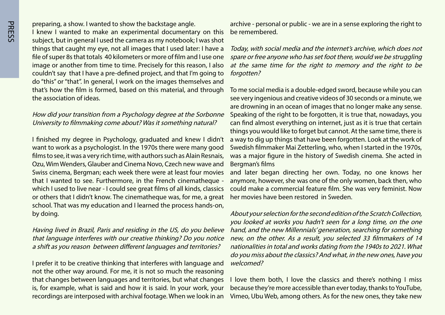**PRESS** 

preparing, a show. I wanted to show the backstage angle. I knew I wanted to make an experimental documentary on this subject, but in general I used the camera as my notebook; I was shot things that caught my eye, not all images that I used later: I have a file of super 8s that totals 40 kilometers or more of film and I use one image or another from time to time. Precisely for this reason, I also couldn't say that I have a pre-defined project, and that I'm going to do "this" or "that". In general, I work on the images themselves and that's how the film is formed, based on this material, and through the association of ideas.

#### How did your transition from a Psychology degree at the Sorbonne University to filmmaking come about? Was it something natural?

I finished my degree in Psychology, graduated and knew I didn't want to work as a psychologist. In the 1970s there were many good films to see, it was a very rich time, with authors such as Alain Resnais, Ozu, Wim Wenders, Glauber and Cinema Novo, Czech new wave and Swiss cinema, Bergman; each week there were at least four movies that I wanted to see. Furthermore, in the French cinematheque which I used to live near - I could see great films of all kinds, classics or others that I didn't know. The cinematheque was, for me, a great school. That was my education and I learned the process hands-on, by doing.

Having lived in Brazil, Paris and residing in the US, do you believe that language interferes with our creative thinking? Do you notice a shift as you reason between different languages and territories?

I prefer it to be creative thinking that interferes with language and not the other way around. For me, it is not so much the reasoning that changes between languages and territories, but what changes is, for example, what is said and how it is said. In your work, your recordings are interposed with archival footage. When we look in an archive - personal or public - we are in a sense exploring the right to be remembered.

Today, with social media and the internet's archive, which does not spare or free anyone who has set foot there, would we be struggling at the same time for the right to memory and the right to be forgotten?

To me social media is a double-edged sword, because while you can see very ingenious and creative videos of 30 seconds or a minute, we are drowning in an ocean of images that no longer make any sense. Speaking of the right to be forgotten, it is true that, nowadays, you can find almost everything on internet, just as it is true that certain things you would like to forget but cannot. At the same time, there is a way to dig up things that have been forgotten. Look at the work of Swedish filmmaker Mai Zetterling, who, when I started in the 1970s, was a major figure in the history of Swedish cinema. She acted in Bergman's films

and later began directing her own. Today, no one knows her anymore, however, she was one of the only women, back then, who could make a commercial feature film. She was very feminist. Now her movies have been restored in Sweden.

About your selection for the second edition of the Scratch Collection, you looked at works you hadn't seen for a long time, on the one hand, and the new Millennials' generation, searching for something new, on the other. As a result, you selected 33 filmmakers of 14 nationalities in total and works dating from the 1940s to 2021. What do you miss about the classics? And what, in the new ones, have you ?welcomed

I love them both, I love the classics and there's nothing I miss because they're more accessible than ever today, thanks to YouTube, Vimeo, Ubu Web, among others. As for the new ones, they take new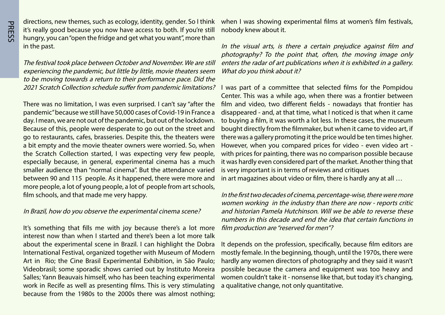directions, new themes, such as ecology, identity, gender. So I think it's really good because you now have access to both. If you're still hungry, you can "open the fridge and get what you want", more than in the past.

The festival took place between October and November. We are still experiencing the pandemic, but little by little, movie theaters seem to be moving towards a return to their performance pace. Did the

There was no limitation, I was even surprised. I can't say "after the pandemic" because we still have 50,000 cases of Covid-19 in France a day. I mean, we are not out of the pandemic, but out of the lockdown. Because of this, people were desperate to go out on the street and go to restaurants, cafes, brasseries. Despite this, the theaters were a bit empty and the movie theater owners were worried. So, when the Scratch Collection started, I was expecting very few people, especially because, in general, experimental cinema has a much smaller audience than "normal cinema". But the attendance varied between 90 and 115 people. As it happened, there were more and more people, a lot of young people, a lot of people from art schools, film schools, and that made me very happy.

#### In Brazil, how do you observe the experimental cinema scene?

It's something that fills me with joy because there's a lot more interest now than when I started and there's been a lot more talk about the experimental scene in Brazil. I can highlight the Dobra International Festival, organized together with Museum of Modern Art in Rio; the Cine Brasil Experimental Exhibition, in São Paulo; Videobrasil; some sporadic shows carried out by Instituto Moreira Salles; Yann Beauvais himself, who has been teaching experimental work in Recife as well as presenting films. This is very stimulating because from the 1980s to the 2000s there was almost nothing;

when I was showing experimental films at women's film festivals, nobody knew about it.

In the visual arts, is there a certain prejudice against film and photography? To the point that, often, the moving image only enters the radar of art publications when it is exhibited in a gallery. What do you think about it?

2021 Scratch Collection schedule suffer from pandemic limitations? I was part of a committee that selected films for the Pompidou Center. This was a while ago, when there was a frontier between film and video, two different fields - nowadays that frontier has disappeared - and, at that time, what I noticed is that when it came to buying a film, it was worth a lot less. In these cases, the museum bought directly from the filmmaker, but when it came to video art, if there was a gallery promoting it the price would be ten times higher. However, when you compared prices for video - even video art with prices for painting, there was no comparison possible because it was hardly even considered part of the market. Another thing that is very important is in terms of reviews and critiques in art magazines about video or film, there is hardly any at all ...

> In the first two decades of cinema, percentage-wise, there were more women working in the industry than there are now - reports critic and historian Pamela Hutchinson. Will we be able to reverse these numbers in this decade and end the idea that certain functions in film production are "reserved for men"?

> It depends on the profession, specifically, because film editors are mostly female. In the beginning, though, until the 1970s, there were hardly any women directors of photography and they said it wasn't possible because the camera and equipment was too heavy and women couldn't take it - nonsense like that, but today it's changing, a qualitative change, not only quantitative.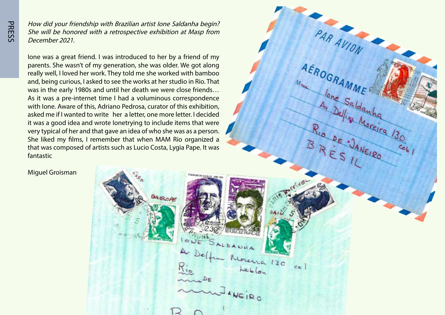How did your friendship with Brazilian artist Ione Saldanha begin? She will be honored with a retrospective exhibition at Masp from December 2021.

lone was a great friend. I was introduced to her by a friend of my parents. She wasn't of my generation, she was older. We got along really well, I loved her work. They told me she worked with bamboo and, being curious, I asked to see the works at her studio in Rio. That was in the early 1980s and until her death we were close friends... As it was a pre-internet time I had a voluminous correspondence with lone. Aware of this, Adriano Pedrosa, curator of this exhibition, asked me if I wanted to write her a letter, one more letter. I decided it was a good idea and wrote lonetrying to include items that were very typical of her and that gave an idea of who she was as a person. She liked my films, I remember that when MAM Rio organized a that was composed of artists such as Lucio Costa, Lygia Pape. It was fantastic

**Miguel Groisman** 



PAR AVION

AEROGRAMME

Mm Jone Saldauha

Jone Saldauha (30)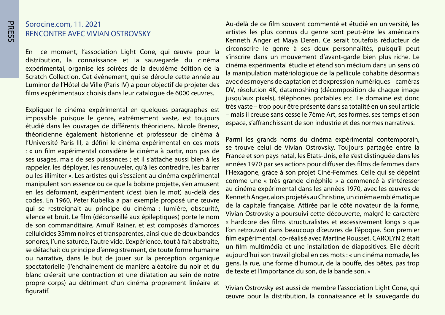#### Sorocine.com, 11. 2021 RENCONTRE AVEC VIVIAN OSTROVSKY

En ce moment, l'association Light Cone, qui œuvre pour la distribution, la connaissance et la sauvegarde du cinéma expérimental, organise les soirées de la deuxième édition de la Scratch Collection. Cet évènement, qui se déroule cette année au Luminor de l'Hôtel de Ville (Paris IV) a pour objectif de projeter des films expérimentaux choisis dans leur catalogue de 6000 œuvres.

Expliquer le cinéma expérimental en quelques paragraphes est impossible puisque le genre, extrêmement vaste, est toujours étudié dans les ouvrages de différents théoriciens. Nicole Brenez, théoricienne également historienne et professeur de cinéma à l'Université Paris III, a défini le cinéma expérimental en ces mots : « un film expérimental considère le cinéma à partir, non pas de ses usages, mais de ses puissances ; et il s'attache aussi bien à les rappeler, les déployer, les renouveler, qu'à les contredire, les barrer ou les illimiter ». Les artistes qui s'essaient au cinéma expérimental manipulent son essence ou ce que la bobine projette, s'en amusent en les déformant, expérimentent (c'est bien le mot) au-delà des codes. En 1960, Peter Kubelka a par exemple proposé une œuvre qui se restreignait au principe du cinéma : lumière, obscurité, silence et bruit. Le film (déconseillé aux épileptiques) porte le nom de son commanditaire, Arnulf Rainer, et est composés d'amorces celluloïdes 35mm noires et transparentes, ainsi que de deux bandes sonores, l'une saturée, l'autre vide. L'expérience, tout à fait abstraite, se détachait du principe d'enregistrement, de toute forme humaine ou narrative, dans le but de jouer sur la perception organique spectatorielle (l'enchainement de manière aléatoire du noir et du blanc créerait une contraction et une dilatation au sein de notre propre corps) au détriment d'un cinéma proprement linéaire et .figuratif

Au-delà de ce film souvent commenté et étudié en université, les artistes les plus connus du genre sont peut-être les américains Kenneth Anger et Maya Deren. Ce serait toutefois réducteur de circonscrire le genre à ses deux personnalités, puisqu'il peut s'inscrire dans un mouvement d'avant-garde bien plus riche. Le cinéma expérimental étudie et étend son médium dans un sens où la manipulation matériologique de la pellicule cohabite désormais avec des moyens de captation et d'expression numériques - caméras DV, résolution 4K, datamoshing (décomposition de chaque image jusqu'aux pixels), téléphones portables etc. Le domaine est donc très vaste – trop pour être présenté dans sa totalité en un seul article - mais il creuse sans cesse le 7ème Art, ses formes, ses temps et son espace, s'affranchissant de son industrie et des normes narratives.

Parmi les grands noms du cinéma expérimental contemporain, se trouve celui de Vivian Ostrovsky. Toujours partagée entre la France et son pays natal, les Etats-Unis, elle s'est distinguée dans les années 1970 par ses actions pour diffuser des films de femmes dans l'Hexagone, grâce à son projet Ciné-Femmes. Celle qui se dépeint comme une « très grande cinéphile » a commencé à s'intéresser au cinéma expérimental dans les années 1970, avec les œuvres de Kenneth Anger, alors projetés au Christine, un cinéma emblématique de la capitale française. Attirée par le côté novateur de la forme, Vivian Ostrovsky a poursuivi cette découverte, malgré le caractère « hardcore des films structuralistes et excessivement longs » que l'on retrouvait dans beaucoup d'œuvres de l'époque. Son premier film expérimental, co-réalisé avec Martine Rousset, CAROLYN 2 était un film multimédia et une installation de diapositives. Elle décrit aujourd'hui son travail global en ces mots : « un cinéma nomade, les gens, la rue, une forme d'humour, de la bouffe, des bêtes, pas trop de texte et l'importance du son, de la bande son. »

Vivian Ostrovsky est aussi de membre l'association Light Cone, qui ceuvre pour la distribution, la connaissance et la sauvegarde du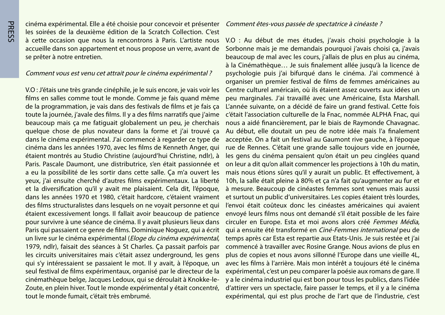cinéma expérimental. Elle a été choisie pour concevoir et présenter les soirées de la deuxième édition de la Scratch Collection. C'est à cette occasion que nous la rencontrons à Paris. L'artiste nous accueille dans son appartement et nous propose un verre, avant de se prêter à notre entretien.

#### Comment vous est venu cet attrait pour le cinéma expérimental ?

V.O : J'étais une très grande cinéphile, je le suis encore, je vais voir les films en salles comme tout le monde. Comme je fais quand même de la programmation, je vais dans des festivals de films et je fais ca toute la journée, j'avale des films. Il y a des films narratifs que j'aime beaucoup mais ça me fatiguait globalement un peu, je cherchais quelque chose de plus novateur dans la forme et j'ai trouvé ça dans le cinéma expérimental. J'ai commencé à regarder ce type de cinéma dans les années 1970, avec les films de Kenneth Anger, qui étaient montrés au Studio Christine (aujourd'hui Christine, ndlr), à Paris. Pascale Daumont, une distributrice, s'en était passionnée et a eu la possibilité de les sortir dans cette salle. Ca m'a ouvert les yeux, j'ai ensuite cherché d'autres films expérimentaux. La liberté et la diversification qu'il y avait me plaisaient. Cela dit, l'époque, dans les années 1970 et 1980, c'était hardcore, c'étaient vraiment des films structuralistes dans lesquels on ne voyait personne et qui étaient excessivement longs. Il fallait avoir beaucoup de patience pour survivre à une séance de cinéma. Il y avait plusieurs lieux dans Paris qui passaient ce genre de films. Dominique Noquez, qui a écrit un livre sur le cinéma expérimental (*Eloge du cinéma expérimental*, 1979, ndlr), faisait des séances à St Charles. Ca passait parfois par les circuits universitaires mais c'était assez underground, les gens qui s'y intéressaient se passaient le mot. Il y avait, à l'époque, un seul festival de films expérimentaux, organisé par le directeur de la cinémathèque belge, Jacques Ledoux, qui se déroulait à Knokke-le-<br>Zoute, en plein hiver. Tout le monde expérimental y était concentré, tout le monde fumait, c'était très embrumé.

#### Comment êtes-vous passée de spectatrice à cinéaste ?

V.O : Au début de mes études, j'avais choisi psychologie à la Sorbonne mais je me demandais pourquoi j'avais choisi ça, j'avais beau coup de mal avec les cours, j'allais de plus en plus au cinéma, à la Cinémathèque... Je suis finalement allée jusqu'à la licence de psychologie puis j'ai bifurqué dans le cinéma. J'ai commencé à organiser un premier festival de films de femmes américaines au Centre culturel américain, où ils étaient assez ouverts aux idées un peu marginales. J'ai travaillé avec une Américaine, Esta Marshall. L'année suivante, on a décidé de faire un grand festival. Cette fois c'était l'association culturelle de la Fnac, nommée ALPHA Fnac, qui nous a aidé financièrement, par le biais de Raymonde Chavagnac. Au début, elle doutait un peu de notre idée mais l'a finalement acceptée. On a fait un festival au Gaumont rive gauche, à l'époque rue de Rennes. C'était une grande salle toujours vide en journée, les gens du cinéma pensaient qu'on était un peu cinglées quand on leur a dit qu'on allait commencer les projections à 10 h du matin, mais nous étions sûres qu'il y aurait un public. Et effectivement, à 10h, la salle était pleine à 80% et ça n'a fait gu'augmenter au fur et à mesure. Beaucoup de cinéastes femmes sont venues mais aussi et surtout un public d'universitaires. Les copies étaient très lourdes, l'envoi était coûteux donc les cinéastes américaines qui avaient envoyé leurs films nous ont demandé s'il était possible de les faire circuler en Europe. Esta et moi avons alors créé Femmes Média. qui a ensuite été transformé en Ciné-Femmes international peu de temps après car Esta est repartie aux Etats-Unis. Je suis restée et j'ai commencé à travailler avec Rosine Grange. Nous avions de plus en plus de copies et nous avons sillonné l'Europe dans une vieille 4L, avec les films à l'arrière. Mais mon intérêt a toujours été le cinéma expérimental, c'est un peu comparer la poésie aux romans de gare. Il y a le cinéma industriel qui est bon pour tous les publics, dans l'idée d'attirer vers un spectacle, faire passer le temps, et il y a le cinéma expérimental, qui est plus proche de l'art que de l'industrie, c'est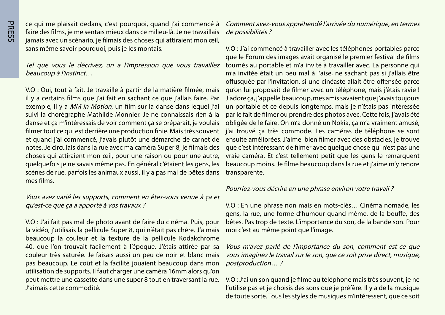**PRESS** 

ce qui me plaisait dedans, c'est pourquoi, quand j'ai commencé à faire des films, je me sentais mieux dans ce milieu-là. Je ne travaillais jamais avec un scénario, je filmais des choses qui attiraient mon œil, sans même savoir pourquoi, puis je les montais.

Tel que vous le décrivez, on a l'impression que vous travaillez beaucoup à l'instinct...

V.O : Oui, tout à fait. Je travaille à partir de la matière filmée, mais il y a certains films que j'ai fait en sachant ce que j'allais faire. Par exemple, il y a *MM in Motion*, un film sur la danse dans lequel j'ai suivi la chorégraphe Mathilde Monnier. Je ne connaissais rien à la danse et ça m'intéressais de voir comment ça se préparait, je voulais filmer tout ce qui est derrière une production finie. Mais très souvent et quand j'ai commencé, j'avais plutôt une démarche de carnet de notes. Je circulais dans la rue avec ma caméra Super 8, je filmais des choses qui attiraient mon œil, pour une raison ou pour une autre, quelquefois je ne savais même pas. En général c'étaient les gens, les scènes de rue, parfois les animaux aussi, il y a pas mal de bêtes dans mes films.

Vous avez varié les supports, comment en êtes-vous venue à ca et qu'est-ce que ça a apporté à vos travaux ?

V.O : J'ai fait pas mal de photo avant de faire du cinéma. Puis, pour la vidéo, j'utilisais la pellicule Super 8, qui n'était pas chère. J'aimais beaucoup la couleur et la texture de la pellicule Kodakchrome 40, que l'on trouvait facilement à l'époque. J'étais attirée par sa couleur très saturée. Je faisais aussi un peu de noir et blanc mais pas beaucoup. Le coût et la facilité jouaient beaucoup dans mon utilisation de supports. Il faut charger une caméra 16mm alors qu'on peut mettre une cassette dans une super 8 tout en traversant la rue. l'aimais cette commodité.

Comment avez-vous appréhendé l'arrivée du numérique, en termes de possibilités ?

V.O : J'ai commencé à travailler avec les téléphones portables parce que le Forum des images avait organisé le premier festival de films tournés au portable et m'a invité à travailler avec. La personne qui m'a invitée était un peu mal à l'aise, ne sachant pas si j'allais être offusquée par l'invitation, si une cinéaste allait être offensée parce qu'on lui proposait de filmer avec un téléphone, mais j'étais ravie ! J'adore ça, j'appelle beaucoup, mes amis savaient que j'avais toujours un portable et ce depuis longtemps, mais je n'étais pas intéressée par le fait de filmer ou prendre des photos avec. Cette fois, j'avais été obligée de le faire. On m'a donné un Nokia, ça m'a vraiment amusé, j'ai trouvé ça très commode. Les caméras de téléphone se sont ensuite améliorées. J'aime bien filmer avec des obstacles, je trouve que c'est intéressant de filmer avec quelque chose qui n'est pas une vraie caméra. Et c'est tellement petit que les gens le remarquent beaucoup moins. Je filme beaucoup dans la rue et j'aime m'y rendre transparente.

#### Pourriez-vous décrire en une phrase environ votre travail ?

V.O : En une phrase non mais en mots-clés... Cinéma nomade, les gens, la rue, une forme d'humour quand même, de la bouffe, des bêtes. Pas trop de texte. L'importance du son, de la bande son. Pour moi c'est au même point que l'image.

Vous m'avez parlé de l'importance du son, comment est-ce que vous imaginez le travail sur le son, que ce soit prise direct, musique, postproduction...?

V.O : J'ai un son quand je filme au téléphone mais très souvent, je ne l'utilise pas et je choisis des sons que je préfère. Il y a de la musique de toute sorte. Tous les styles de musiques m'intéressent, que ce soit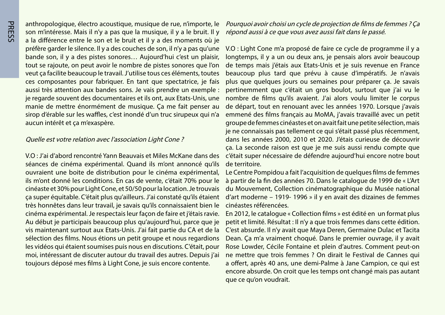anthropologique, électro acoustique, musique de rue, n'importe, le son m'intéresse. Mais il n'y a pas que la musique, il y a le bruit. Il y a la différence entre le son et le bruit et il y a des moments où je préfère garder le silence. Il y a des couches de son, il n'y a pas qu'une bande son, il y a des pistes sonores ... Aujourd'hui c'est un plaisir, tout se rajoute, on peut avoir le nombre de pistes sonores que l'on veut ca facilite beaucoup le travail. J'utilise tous ces éléments, toutes ces composantes pour fabriquer. En tant que spectatrice, je fais aussi très attention aux bandes sons. Je vais prendre un exemple : je regarde souvent des documentaires et ils ont, aux Etats-Unis, une manie de mettre énormément de musique. Ca me fait penser au sirop d'érable sur les waffles, c'est inondé d'un truc sirupeux qui n'a aucun intérêt et ça m'exaspère.

#### Quelle est votre relation avec l'association Light Cone?

V.O : J'ai d'abord rencontré Yann Beauvais et Miles McKane dans des séances de cinéma expérimental. Quand ils m'ont annoncé qu'ils ouvraient une boite de distribution pour le cinéma expérimental, ils m'ont donné les conditions. En cas de vente, c'était 70% pour le cinéaste et 30% pour Light Cone, et 50/50 pour la location. Je trouvais ca super équitable. C'était plus qu'ailleurs. J'ai constaté qu'ils étaient très honnêtes dans leur travail, je savais qu'ils connaissaient bien le cinéma expérimental. Je respectais leur façon de faire et j'étais ravie. Au début je participais beaucoup plus qu'aujourd'hui, parce que je vis maintenant surtout aux Etats-Unis. J'ai fait partie du CA et de la sélection des films. Nous étions un petit groupe et nous regardions les vidéos qui étaient soumises puis nous en discutions. C'était, pour moi, intéressant de discuter autour du travail des autres. Depuis j'ai toujours déposé mes films à Light Cone, je suis encore contente.

Pourquoi avoir choisi un cycle de projection de films de femmes ? Ça répond aussi à ce que vous avez aussi fait dans le passé.

V.O : Light Cone m'a proposé de faire ce cycle de programme il y a longtemps, il y a un ou deux ans, je pensais alors avoir beaucoup de temps mais j'étais aux Etats-Unis et je suis revenue en France beaucoup plus tard que prévu à cause d'impératifs. Je n'avais plus que quelques jours ou semaines pour préparer ça. Je savais pertinemment que c'était un gros boulot, surtout que j'ai vu le nombre de films qu'ils avaient. J'ai alors voulu limiter le corpus de départ, tout en renouant avec les années 1970. Lorsque j'avais emmené des films français au MoMA, j'avais travaillé avec un petit groupe de femmes cinéastes et on avait fait une petite sélection, mais je ne connaissais pas tellement ce qui s'était passé plus récemment, dans les années 2000, 2010 et 2020. J'étais curieuse de découvrir ça. La seconde raison est que je me suis aussi rendu compte que c'était super nécessaire de défendre aujourd'hui encore notre bout de territoire.

Le Centre Pompidou a fait l'acquisition de quelques films de femmes à partir de la fin des années 70. Dans le catalogue de 1999 de « L'Art du Mouvement, Collection cinématographique du Musée national d'art moderne – 1919-1996 » il y en avait des dizaines de femmes cinéastes référencées.

En 2012, le catalogue « Collection films » est édité en un format plus petit et limité. Résultat : Il n'y a que trois femmes dans cette édition. C'est absurde. Il n'y avait que Maya Deren, Germaine Dulac et Tacita Dean. Ça m'a vraiment choqué. Dans le premier ouvrage, il y avait Rose Lowder, Cécile Fontaine et plein d'autres. Comment peut-on ne mettre que trois femmes ? On dirait le Festival de Cannes qui a offert, après 40 ans, une demi-Palme à Jane Campion, ce qui est encore absurde. On croit que les temps ont changé mais pas autant que ce qu'on voudrait.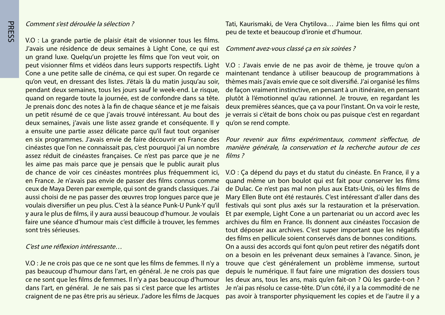#### Comment s'est déroulée la sélection?

V.O : La grande partie de plaisir était de visionner tous les films. J'avais une résidence de deux semaines à Light Cone, ce qui est un grand luxe. Quelqu'un projette les films que l'on veut voir, on peut visionner films et vidéos dans leurs supports respectifs. Light Cone a une petite salle de cinéma, ce qui est super. On regarde ce qu'on veut, en dressant des listes. J'étais là du matin jusqu'au soir, pendant deux semaines, tous les jours sauf le week-end. Le risque, quand on regarde toute la journée, est de confondre dans sa tête. Je prenais donc des notes à la fin de chaque séance et je me faisais un petit résumé de ce que j'avais trouvé intéressant. Au bout des deux semaines, j'avais une liste assez grande et conséquente. Il y a ensuite une partie assez délicate parce qu'il faut tout organiser en six programmes. J'avais envie de faire découvrir en France des cinéastes que l'on ne connaissait pas, c'est pourquoi j'ai un nombre assez réduit de cinéastes françaises. Ce n'est pas parce que je ne les aime pas mais parce que je pensais que le public aurait plus de chance de voir ces cinéastes montrées plus fréquemment ici. en France. Je n'avais pas envie de passer des films connus comme ceux de Maya Deren par exemple, qui sont de grands classiques. J'ai aussi choisi de ne pas passer des œuvres trop longues parce que je voulais diversifier un peu plus. C'est à la séance Punk-U Punk-Y qu'il y aura le plus de films, il y aura aussi beaucoup d'humour. Je voulais faire une séance d'humour mais c'est difficile à trouver, les femmes sont très sérieuses.

#### C'est une réflexion intéressante ...

V.O : Je ne crois pas que ce ne sont que les films de femmes. Il n'y a pas beaucoup d'humour dans l'art, en général. Je ne crois pas que ce ne sont que les films de femmes. Il n'y a pas beaucoup d'humour dans l'art, en général. Je ne sais pas si c'est parce que les artistes craignent de ne pas être pris au sérieux. J'adore les films de Jacques Tati, Kaurismaki, de Vera Chytilova... J'aime bien les films qui ont peu de texte et beaucoup d'ironie et d'humour.

#### Comment avez-vous classé ca en six soirées ?

V.O : J'avais envie de ne pas avoir de thème, je trouve qu'on a maintenant tendance à utiliser beaucoup de programmations à thèmes mais j'avais envie que ce soit diversifié. J'ai organisé les films de façon vraiment instinctive, en pensant à un itinéraire, en pensant plutôt à l'émotionnel qu'au rationnel. Je trouve, en regardant les deux premières séances, que ça va pour l'instant. On va voir le reste, je verrais si c'était de bons choix ou pas puisque c'est en regardant qu'on se rend compte.

Pour revenir aux films expérimentaux, comment s'effectue, de manière générale, la conservation et la recherche autour de ces ? films

V.O : Ca dépend du pays et du statut du cinéaste. En France, il y a quand même un bon boulot qui est fait pour conserver les films de Dulac. Ce n'est pas mal non plus aux Etats-Unis, où les films de Mary Ellen Bute ont été restaurés. C'est intéressant d'aller dans des festivals qui sont plus axés sur la restauration et la préservation. Et par exemple, Light Cone a un partenariat ou un accord avec les archives du film en France. Ils donnent aux cinéastes l'occasion de tout déposer aux archives. C'est super important que les négatifs des films en pellicule soient conservés dans de bonnes conditions. On a aussi des accords qui font qu'on peut retirer des négatifs dont on a besoin en les prévenant deux semaines à l'avance. Sinon, je trouve que c'est généralement un problème immense, surtout depuis le numérique. Il faut faire une migration des dossiers tous les deux ans, tous les ans, mais qu'en fait-on ? Où les garde-t-on ? Je n'ai pas résolu ce casse-tête. D'un côté, il y a la commodité de ne pas avoir à transporter physiquement les copies et de l'autre il y a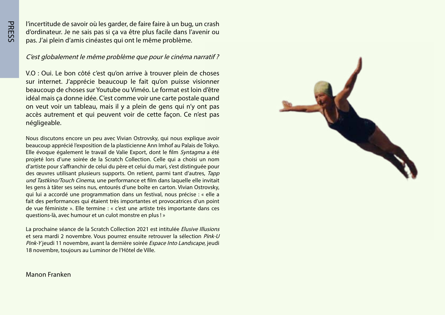l'incertitude de savoir où les garder, de faire faire à un bug, un crash d'ordinateur. Je ne sais pas si ça va être plus facile dans l'avenir ou pas. J'ai plein d'amis cinéastes qui ont le même problème.

C'est globalement le même problème que pour le cinéma narratif?

V.O : Oui. Le bon côté c'est qu'on arrive à trouver plein de choses sur internet. J'apprécie beaucoup le fait qu'on puisse visionner beaucoup de choses sur Youtube ou Viméo. Le format est loin d'être idéal mais ca donne idée. C'est comme voir une carte postale quand on veut voir un tableau, mais il y a plein de gens qui n'y ont pas accès autrement et qui peuvent voir de cette façon. Ce n'est pas .négligeable

Nous discutons encore un peu avec Vivian Ostrovsky, qui nous explique avoir beaucoup apprécié l'exposition de la plasticienne Ann Imhof au Palais de Tokyo. Elle évoque également le travail de Valie Export, dont le film Syntagma a été projeté lors d'une soirée de la Scratch Collection. Celle qui a choisi un nom d'artiste pour s'affranchir de celui du père et celui du mari, s'est distinguée pour des œuvres utilisant plusieurs supports. On retient, parmi tant d'autres, Tapp und Tastkino/Touch Cinema, une performance et film dans laquelle elle invitait les gens à tâter ses seins nus, entourés d'une boîte en carton. Vivian Ostrovsky, qui lui a accordé une programmation dans un festival, nous précise : « elle a fait des performances qui étaient très importantes et provocatrices d'un point de vue féministe ». Elle termine : « c'est une artiste très importante dans ces questions-là, avec humour et un culot monstre en plus !»

La prochaine séance de la Scratch Collection 2021 est intitulée Elusive Illusions et sera mardi 2 novembre. Vous pourrez ensuite retrouver la sélection Pink-U Pink-Yjeudi 11 novembre, avant la dernière soirée Espace Into Landscape, jeudi 18 novembre, toujours au Luminor de l'Hôtel de Ville.



#### Manon Franken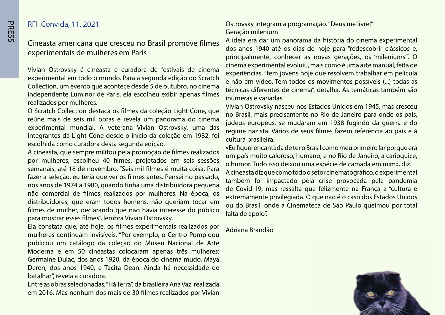#### **RFI Convida, 11. 2021**

#### Cineasta americana que cresceu no Brasil promove filmes experimentais de mulheres em Paris

Vivian Ostrovsky é cineasta e curadora de festivais de cinema experimental em todo o mundo. Para a segunda edição do Scratch Collection, um evento que acontece desde 5 de outubro, no cinema independente Luminor de Paris, ela escolheu exibir apenas filmes realizados por mulheres.

O Scratch Collection destaca os filmes da coleção Light Cone, que reúne mais de seis mil obras e revela um panorama do cinema experimental mundial. A veterana Vivian Ostrovsky, uma das integrantes da Light Cone desde o início da coleção em 1982, foi escolhida como curadora desta segunda edição.

A cineasta, que sempre militou pela promoção de filmes realizados por mulheres, escolheu 40 filmes, projetados em seis sessões semanais, até 18 de novembro. "Seis mil filmes é muita coisa. Para fazer a seleção, eu teria que ver os filmes antes. Pensei no passado, nos anos de 1974 a 1980, quando tinha uma distribuidora pequena não comercial de filmes realizados por mulheres. Na época, os distribuidores, que eram todos homens, não queriam tocar em filmes de mulher, declarando que não havia interesse do público para mostrar esses filmes", lembra Vivian Ostrovsky.

Ela constata que, até hoje, os filmes experimentais realizados por mulheres continuam invisíveis. "Por exemplo, o Centro Pompidou publicou um catálogo da coleção do Museu Nacional de Arte Moderna e em 50 cineastas colocaram apenas três mulheres: Germaine Dulac, dos anos 1920, da época do cinema mudo, Maya Deren, dos anos 1940, e Tacita Dean. Ainda há necessidade de batalhar", revela a curadora.

Entre as obras selecionadas, "Há Terra", da brasileira Ana Vaz, realizada em 2016. Mas nenhum dos mais de 30 filmes realizados por Vivian

#### Ostrovsky integram a programação. "Deus me livre!" Geração milenium

A ideia era dar um panorama da história do cinema experimental dos anos 1940 até os dias de hoje para "redescobrir clássicos e, principalmente, conhecer as novas gerações, os 'mileniums'". O cinema experimental evoluiu, mais como é uma arte manual, feita de experiências, "tem jovens hoje que resolvem trabalhar em película e não em vídeo. Tem todos os movimentos possíveis (...) todas as técnicas diferentes de cinema", detalha. As temáticas também são inúmeras e variadas.

Vivian Ostrovsky nasceu nos Estados Unidos em 1945, mas cresceu no Brasil, mais precisamente no Rio de Janeiro para onde os pais, judeus europeus, se mudaram em 1938 fugindo da guerra e do regime nazista. Vários de seus filmes fazem referência ao país e à cultura brasileira

«Eu fiquei encantada de ter o Brasil como meu primeiro lar porque era um país muito caloroso, humano, e no Rio de Janeiro, a carioquice, o humor. Tudo isso deixou uma espécie de camada em mim», diz. A cineasta diz que como todo o setor cinematográfico, o experimental também foi impactado pela crise provocada pela pandemia de Covid-19, mas ressalta que felizmente na França a "cultura é extremamente privilegiada. O que não é o caso dos Estados Unidos ou do Brasil, onde a Cinemateca de São Paulo queimou por total falta de apoio".

Adriana Brandão

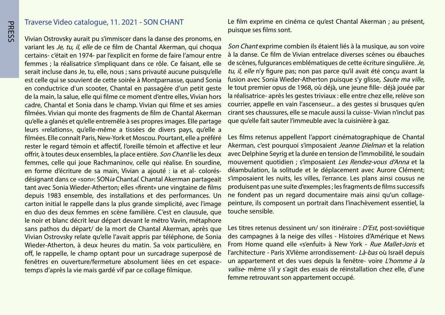#### Traverse Video catalogue, 11. 2021 - SON CHANT

Vivian Ostrovsky aurait pu s'immiscer dans la danse des pronoms, en variant les Je, tu, il, elle de ce film de Chantal Akerman, qui choqua certains- c'était en 1974- par l'explicit en forme de faire l'amour entre femmes ; la réalisatrice s'impliquant dans ce rôle. Ce faisant, elle se serait incluse dans Je, tu, elle, nous ; sans privauté aucune puisqu'elle est celle qui se souvient de cette soirée à Montparnasse, quand Sonia en conductrice d'un scooter, Chantal en passagère d'un petit geste de la main, la salue, elle qui filme ce moment d'entre elles, Vivian hors cadre, Chantal et Sonia dans le champ. Vivian qui filme et ses amies filmées. Vivian qui monte des fragments de film de Chantal Akerman qu'elle a glanés et qu'elle entremêle à ses propres images. Elle partage leurs «relations», qu'elle-même a tissées de divers pays, qu'elle a filmées. Elle connaît Paris, New-York et Moscou. Pourtant, elle a préféré rester le regard témoin et affectif. l'oreille témoin et affective et leur offrir, à toutes deux ensembles, la place entière. Son Chantlie les deux femmes, celle qui joue Rachmaninov, celle qui réalise. En sourdine, désignant dans ce «son»: SON*ia* Chantal. Chantal Akerman partageait en forme d'écriture de sa main, Vivian a ajouté : ia et al- coloréstant avec Sonia Wieder-Atherton; elles «firent» une vingtaine de films depuis 1983 ensemble, des installations et des performances. Un carton initial le rappelle dans la plus grande simplicité, avec l'image en duo des deux femmes en scène familière. C'est en clausule, que le noir et blanc décrit leur départ devant le métro Vavin, métaphore sans pathos du départ/ de la mort de Chantal Akerman, après que Vivian Ostrovsky relate qu'elle l'avait appris par téléphone, de Sonia Wieder-Atherton, à deux heures du matin. Sa voix particulière, en off, le rappelle, le champ optant pour un surcadrage superposé de fenêtres en ouverture/fermeture absolument liées en cet espace-<br>temps d'après la vie mais gardé vif par ce collage filmique.

Le film exprime en cinéma ce qu'est Chantal Akerman ; au présent, puisque ses films sont.

Son Chant exprime combien ils étaient liés à la musique, au son voire à la danse. Ce film de Vivian entrelace diverses scènes ou ébauches de scènes, fulgurances emblématiques de cette écriture singulière. Je, tu, il, elle n'y figure pas; non pas parce qu'il avait été conçu avant la fusion avec Sonia Wieder-Atherton puisque s'y glisse, Saute ma ville, le tout premier opus de 1968, où déjà, une jeune fille- déjà jouée par la réalisatrice- après les gestes triviaux : elle entre chez elle, relève son courrier, appelle en vain l'ascenseur... a des gestes si brusques qu'en cirant ses chaussures, elle se macule aussi la cuisse-Vivian n'inclut pas que qu'elle fait sauter l'immeuble avec la cuisinière à gaz.

Les films retenus appellent l'apport cinématographique de Chantal Akerman, c'est pourquoi s'imposaient Jeanne Dielman et la relation avec Delphine Seyrig et la durée en tension de l'immobilité, le soudain mouvement quotidien ; s'imposaient Les Rendez-vous d'Anna et la déambulation, la solitude et le déplacement avec Aurore Clément; s'imposaient les nuits, les villes, l'errance. Les plans ainsi cousus ne produisent pas une suite d'exemples ; les fragments de films successifs peinture, ils composent un portrait dans l'inachèvement essentiel, la ne fondent pas un regard documentaire mais ainsi qu'un collagetouche sensible.

Les titres retenus dessinent un/son itinéraire : D'Est, post-soviétique des campagnes à la neige des villes - Histoires d'Amérique et News From Home quand elle «s'enfuit» à New York - Rue Mallet-Joris et l'architecture - Paris XVIème arrondissement- Là-bas où Israël depuis un appartement et des vues depuis la fenêtre- voire L'homme à la valise même s'il y s'agit des essais de réinstallation chez elle, d'une femme retrouvant son appartement occupé.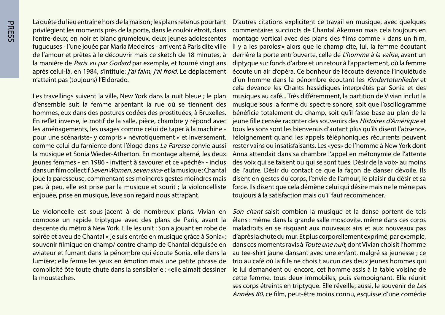La quête du lieu entraîne hors de la maison ; les plans retenus pourtant privilégient les moments près de la porte, dans le couloir étroit, dans l'entre-deux; en noir et blanc grumeleux, deux jeunes adolescentes fugueuses - l'une jouée par Maria Medeiros - arrivent à Paris dite ville de l'amour et prêtes à le découvrir mais ce sketch de 18 minutes, à la manière de Paris vu par Godard par exemple, et tourné vingt ans après celui-là, en 1984, s'intitule: j'ai faim, j'ai froid. Le déplacement n'atteint pas (toujours) l'Eldorado.

Les travellings suivent la ville, New York dans la nuit bleue ; le plan d'ensemble suit la femme arpentant la rue où se tiennent des hommes, eux dans des postures codées des prostituées, à Bruxelles. En reflet inverse, le motif de la salle, pièce, chambre y répond avec les aménagements, les usages comme celui de taper à la machine pour une scénariste- y compris « névrotiquement « et inversement, comme celui du farniente dont l'éloge dans La Paresse convie aussi la musique et Sonia Wieder-Atherton. En montage alterné, les deux jeunes femmes - en 1986 - invitent à savourer et ce «péché» - inclus dans un film collectif Seven Women, seven sins- et la musique: Chantal joue la paresseuse, commentant ses moindres gestes moindres mais peu à peu, elle est prise par la musique et sourit ; la violoncelliste enjouée, prise en musique, lève son regard nous attrapant.

Le violoncelle est sous-jacent à de nombreux plans. Vivian en compose un rapide triptyque avec des plans de Paris, avant la descente du métro à New York. Elle les unit : Sonia jouant en robe de soirée et aveu de Chantal « je suis entrée en musique grâce à Sonia»; souvenir filmique en champ/ contre champ de Chantal déquisée en aviateur et fumant dans la pénombre qui écoute Sonia, elle dans la lumière; elle ferme les yeux en émotion mais une petite phrase de complicité ôte toute chute dans la sensiblerie : «elle aimait dessiner la moustache».

D'autres citations explicitent ce travail en musique, avec quelques commentaires succincts de Chantal Akerman mais cela toujours en montage vertical avec des plans des films comme « dans un film, il y a les paroles'» alors que le champ cite, lui, la femme écoutant derrière la porte entr'ouverte, celle de *L'homme à la valise*, avant un diptyque sur fonds d'arbre et un retour à l'appartement, où la femme écoute un air d'opéra. Ce bonheur de l'écoute devance l'inquiétude d'un homme dans la pénombre écoutant les Kindertotenlieder et cela devance les Chants hassidiques interprétés par Sonia et des musiques au café... Très différemment, la partition de Vivian inclut la musique sous la forme du spectre sonore, soit que l'oscillogramme bénéficie totalement du champ, soit qu'il fasse base au plan de la jeune fille censée raconter des souvenirs des Histoires d'Amérique et tous les sons sont les bienvenus d'autant plus qu'ils disent l'absence, l'éloignement quand les appels téléphoniques récurrents peuvent rester vains ou insatisfaisants. Les «yes» de l'homme à New York dont Anna attendait dans sa chambre l'appel en métonymie de l'attente des voix qui se taisent ou qui se sont tues. Désir de la voix- au moins de l'autre. Désir du contact ce que la façon de danser dévoile. Ils disent en gestes du corps, l'envie de l'amour, le plaisir du désir et sa force. Ils disent que cela démène celui qui désire mais ne le mène pas toujours à la satisfaction mais qu'il faut recommencer.

Son chant saisit combien la musique et la danse portent de tels élans : même dans la grande salle moscovite, même dans ces corps maladroits en se risquant aux nouveaux airs et aux nouveaux pas d'après la chute du mur. Et plus corporellement exprimé, par exemple, dans ces moments ravis à *Toute une nuit*, dont Vivian choisit l'homme au tee-shirt jaune dansant avec une enfant, malgré sa jeunesse ; ce trio au café où la fille ne choisit aucun des deux jeunes hommes qui le lui demandent ou encore, cet homme assis à la table voisine de cette femme, tous deux immobiles, puis s'empoignant. Elle réunit ses corps étreints en triptyque. Elle réveille, aussi, le souvenir de Les Années 80, ce film, peut-être moins connu, esquisse d'une comédie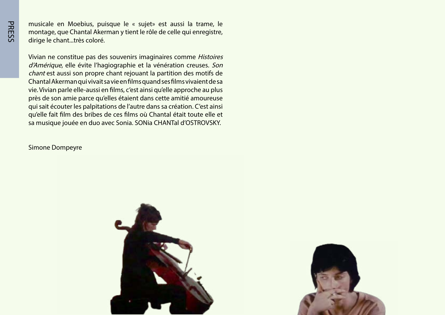musicale en Moebius, puisque le « sujet» est aussi la trame, le montage, que Chantal Akerman y tient le rôle de celle qui enregistre, dirige le chant ... très coloré.

Vivian ne constitue pas des souvenirs imaginaires comme Histoires d'Amérique, elle évite l'hagiographie et la vénération creuses. Son chant est aussi son propre chant rejouant la partition des motifs de Chantal Akerman qui vivait sa vie en films quand ses films vivaient de sa vie. Vivian parle elle-aussi en films, c'est ainsi qu'elle approche au plus près de son amie parce qu'elles étaient dans cette amitié amoureuse qui sait écouter les palpitations de l'autre dans sa création. C'est ainsi qu'elle fait film des bribes de ces films où Chantal était toute elle et sa musique jouée en duo avec Sonia. SONia CHANTal d'OSTROVSKY.

**Simone Dompeyre** 



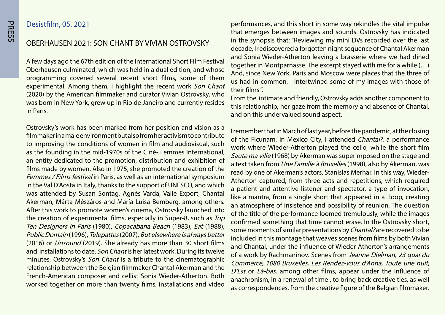#### Desistfilm, 05. 2021

OBERHAUSEN 2021: SON CHANT BY VIVIAN OSTROVSKY

A few days ago the 67th edition of the International Short Film Festival Oberhausen culminated, which was held in a dual edition, and whose programming covered several recent short films, some of them experimental. Among them, I highlight the recent work Son Chant (2020) by the American filmmaker and curator Vivian Ostrovsky, who was born in New York, grew up in Rio de Janeiro and currently resides in Paris.

Ostrovsky's work has been marked from her position and vision as a filmmakerina male environment but also from heractivism to contribute to improving the conditions of women in film and audiovisual, such as the founding in the mid-1970s of the Ciné-Femmes International, an entity dedicated to the promotion, distribution and exhibition of films made by women. Also in 1975, she promoted the creation of the Femmes / Films festival in Paris, as well as an international symposium in the Val D'Aosta in Italy, thanks to the support of UNESCO, and which was attended by Susan Sontag, Agnès Varda, Valie Export, Chantal Akerman, Márta Mészáros and María Luisa Bemberg, among others. After this work to promote women's cinema, Ostrovsky launched into the creation of experimental films, especially in Super-8, such as Top Ten Designers in Paris (1980), Copacabana Beach (1983), Eat (1988), Public Domain (1996), Telepattes (2007), But elsewhere is always better (2016) or *Unsound* (2019). She already has more than 30 short films and installations to date. Son Chant is her latest work. During its twelve minutes, Ostrovsky's Son Chant is a tribute to the cinematographic relationship between the Belgian filmmaker Chantal Akerman and the French-American composer and cellist Sonia Wieder-Atherton. Both worked together on more than twenty films, installations and video

performances, and this short in some way rekindles the vital impulse that emerges between images and sounds. Ostrovsky has indicated in the synopsis that: "Reviewing my mini DVs recorded over the last decade, I rediscovered a forgotten night sequence of Chantal Akerman and Sonia Wieder-Atherton leaving a brasserie where we had dined together in Montparnasse. The excerpt stayed with me for a while  $(...)$ And, since New York, Paris and Moscow were places that the three of us had in common, I intertwined some of my images with those of their films"

From the intimate and friendly, Ostrovsky adds another component to this relationship, her gaze from the memory and absence of Chantal, and on this undervalued sound aspect.

I remember that in March of last year, before the pandemic, at the closing of the Ficunam, in Mexico City, I attended Chantal?, a performance work where Wieder-Atherton played the cello, while the short film Saute ma ville (1968) by Akerman was superimposed on the stage and a text taken from *Une Famille à Bruxelles* (1998), also by Akerman, was Atherton captured, from three acts and repetitions, which required read by one of Akerman's actors, Stanislas Merhar. In this way, Wiedera patient and attentive listener and spectator, a type of invocation, like a mantra, from a single short that appeared in a loop, creating an atmosphere of insistence and possibility of reunion. The question of the title of the performance loomed tremulously, while the images confirmed something that time cannot erase. In the Ostrovsky short, some moments of similar presentations by *Chantal?* are recovered to be included in this montage that weaves scenes from films by both Vivian and Chantal, under the influence of Wieder-Atherton's arrangements of a work by Rachmaninov. Scenes from Jeanne Dielman, 23 quai du Commerce, 1080 Bruxelles, Les Rendez-vous d'Anna, Toute une nuit,  $D'Est$  or Là-bas, among other films, appear under the influence of anachronism, in a renewal of time, to bring back creative ties, as well as correspondences, from the creative figure of the Belgian filmmaker.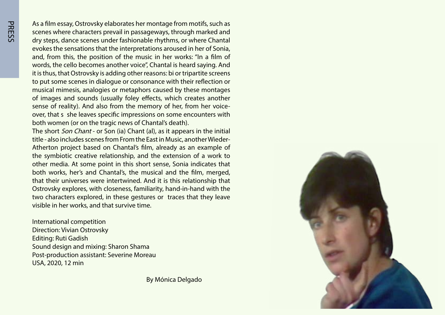As a film essay, Ostrovsky elaborates her montage from motifs, such as scenes where characters prevail in passageways, through marked and dry steps, dance scenes under fashionable rhythms, or where Chantal evokes the sensations that the interpretations aroused in her of Sonia, and, from this, the position of the music in her works: "In a film of words, the cello becomes another voice", Chantal is heard saying. And it is thus, that Ostrovsky is adding other reasons: bi or tripartite screens to put some scenes in dialogue or consonance with their reflection or musical mimesis, analogies or metaphors caused by these montages of images and sounds (usually foley effects, which creates another over, that s she leaves specific impressions on some encounters with sense of reality). And also from the memory of her, from her voiceboth women (or on the tragic news of Chantal's death).

The short *Son Chant* - or Son (ia) Chant (al), as it appears in the initial Atherton project based on Chantal's film, already as an example of title - also includes scenes from From the East in Music, another Wiederthe symbiotic creative relationship, and the extension of a work to other media. At some point in this short sense, Sonia indicates that both works, her's and Chantal's, the musical and the film, merged, that their universes were intertwined. And it is this relationship that Ostrovsky explores, with closeness, familiarity, hand-in-hand with the two characters explored, in these gestures or traces that they leave visible in her works, and that survive time.

International competition Direction: Vivian Ostrovsky Editing: Ruti Gadish Sound design and mixing: Sharon Shama Post-production assistant: Severine Moreau USA, 2020, 12 min

By Mónica Delgado

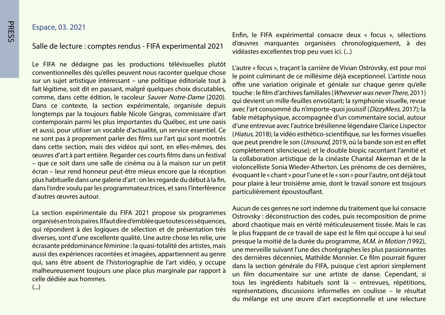Salle de lecture : comptes rendus - FIFA experimental 2021

Le FIFA ne dédaigne pas les productions télévisuelles plutôt conventionnelles dès qu'elles peuvent nous raconter quelque chose sur un sujet artistique intéressant – une politique éditoriale tout à fait légitime, soit dit en passant, malgré quelques choix discutables, comme, dans cette édition, le racoleur Sauver Notre-Dame (2020). Dans ce contexte, la section expérimentale, organisée depuis longtemps par la toujours fiable Nicole Gingras, commissaire d'art contemporain parmi les plus importantes du Québec, est une oasis et aussi, pour utiliser un vocable d'actualité, un service essentiel. Ce ne sont pas à proprement parler des films sur l'art qui sont montrés dans cette section, mais des vidéos qui sont, en elles-mêmes, des ceuvres d'art à part entière. Regarder ces courts films dans un festival - que ce soit dans une salle de cinéma ou à la maison sur un petit écran – leur rend honneur peut-être mieux encore que la réception plus habituelle dans une galerie d'art : on les regarde du début à la fin, dans l'ordre voulu par les programmateur trices, et sans l'interférence d'autres œuvres autour.

La section expérimentale du FIFA 2021 propose six programmes organisés en trois paires. Il faut dire d'emblée que toutes ces séquences, qui répondent à des logiques de sélection et de présentation très diverses, sont d'une excellente qualité. Une autre chose les relie, une écrasante prédominance féminine : la quasi-totalité des artistes, mais aussi des expériences racontées et imagées, appartiennent au genre qui, sans être absent de l'historiographie de l'art vidéo, y occupe malheureusement toujours une place plus marginale par rapport à celle dédiée aux hommes

Enfin, le FIFA expérimental consacre deux « focus », sélections d'œuvres marquantes organisées chronologiquement, à des vidéastes excellentes trop peu vues ici. (...)

L'autre « focus », traçant la carrière de Vivian Ostrovsky, est pour moi le point culminant de ce millésime déjà exceptionnel. L'artiste nous offre une variation originale et géniale sur chaque genre qu'elle touche: le film d'archives familiales (*Wherever was never There.* 2011) qui devient un mille-feuilles envoûtant; la symphonie visuelle, revue avec l'art consommé du n'importe-quoi jouissif (DizzyMess, 2017); la fable métaphysique, accompagnée d'un commentaire social, autour d'une entrevue avec l'autrice brésilienne légendaire Clarice Lispector (Hiatus, 2018); la vidéo esthético-scientifique, sur les formes visuelles que peut prendre le son (*Unsound*, 2019, où la bande son est en effet complétement silencieuse); et le double biopic racontant l'amitié et la collaboration artistique de la cinéaste Chantal Akerman et de la violoncelliste Sonia Wieder-Atherton. Les prénoms de ces dernières, évoquant le « chant » pour l'une et le « son » pour l'autre, ont déjà tout pour plaire à leur troisième amie, dont le travail sonore est toujours particulièrement époustouflant.

Aucun de ces genres ne sort indemne du traitement que lui consacre Ostrovsky : déconstruction des codes, puis recomposition de prime abord chaotique mais en vérité méticuleusement tissée. Mais le cas le plus frappant de ce travail de sape est le film qui occupe à lui seul presque la moitié de la durée du programme, M.M. in Motion (1992), une merveille suivant l'une des chorégraphes les plus passionnantes des dernières décennies, Mathilde Monnier. Ce film pourrait figurer dans la section générale du FIFA, puisque c'est apriori simplement un film documentaire sur une artiste de danse. Cependant, si tous les ingrédients habituels sont là  $-$  entrevues, répétitions, représentations, discussions informelles en coulisse – le résultat du mélange est une œuvre d'art exceptionnelle et une relecture

(...)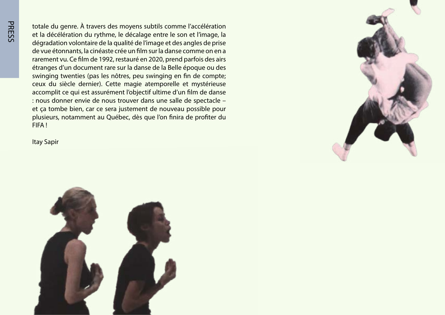totale du genre. À travers des moyens subtils comme l'accélération et la décélération du rythme, le décalage entre le son et l'image, la dégradation volontaire de la qualité de l'image et des angles de prise de vue étonnants, la cinéaste crée un film sur la danse comme on en a rarement vu. Ce film de 1992, restauré en 2020, prend parfois des airs étranges d'un document rare sur la danse de la Belle époque ou des swinging twenties (pas les nôtres, peu swinging en fin de compte; ceux du siècle dernier). Cette magie atemporelle et mystérieuse accomplit ce qui est assurément l'objectif ultime d'un film de danse : nous donner envie de nous trouver dans une salle de spectacle et ça tombe bien, car ce sera justement de nouveau possible pour plusieurs, notamment au Québec, dès que l'on finira de profiter du ! FIFA





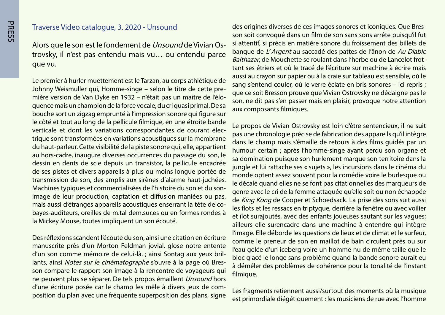#### Traverse Video catalogue, 3. 2020 - Unsound

trovsky, il n'est pas entendu mais vu... ou entendu parce Alors que le son est le fondement de *Unsound* de Vivian Osque vu.

Le premier à hurler muettement est le Tarzan, au corps athlétique de quence mais un champion de la force vocale, du cri quasi primal. De sa mière version de Van Dyke en 1932 – n'était pas un maître de l'élo-Johnny Weismuller qui, Homme-singe – selon le titre de cette prebouche sort un zigzag emprunté à l'impression sonore qui figure sur le côté et tout au long de la pellicule filmique, en une étroite bande trique sont transformées en variations acoustiques sur la membrane verticale et dont les variations correspondantes de courant élecdu haut-parleur. Cette visibilité de la piste sonore qui, elle, appartient au hors-cadre, inaugure diverses occurrences du passage du son, le dessin en dents de scie depuis un transistor, la pellicule encadrée de ses pistes et divers appareils à plus ou moins longue portée de transmission de son, des amplis aux sirènes d'alarme haut-juchées. image de leur production, captation et diffusion maniées ou pas. Machines typiques et commercialisées de l'histoire du son et du sonbayes-auditeurs, oreilles de m.tal dem sur.es ou en formes rondes à mais aussi d'étranges appareils acoustiques enserrant la tête de cola Mickey Mouse, toutes impliquent un son écouté.

Des réflexions scandent l'écoute du son, ainsi une citation en écriture manuscrite près d'un Morton Feldman jovial, glose notre entente son compare le rapport son image à la rencontre de voyageurs qui lants, ainsi Notes sur le cinématographe s'ouvre à la page où Bresd'un son comme mémoire de celui-là. ; ainsi Sontag aux yeux brilne peuvent plus se séparer. De tels propos émaillent Unsound hors position du plan avec une fréquente superposition des plans, signe d'une écriture posée car le champ les mêle à divers jeux de com-

son soit convoqué dans un film de son sans sons arrête puisqu'il fut des origines diverses de ces images sonores et iconiques. Que Bressi attentif, si précis en matière sonore du froissement des billets de banque de L'Argent au saccadé des pattes de l'ânon de Au Diable tant ses étriers et où le tracé de l'écriture sur machine à écrire mais Balthazar, de Mouchette se roulant dans l'herbe ou de Lancelot frotaussi au crayon sur papier ou à la craie sur tableau est sensible, où le sang s'entend couler, où le verre éclate en bris sonores – ici repris ; que ce soit Bresson prouve que Vivian Ostrovsky ne dédaigne pas le son, ne dit pas s'en passer mais en plaisir, provoque notre attention aux composants filmiques.

Le propos de Vivian Ostrovsky est loin d'être sentencieux, il ne suit pas une chronologie précise de fabrication des appareils qu'il intègre dans le champ mais s'émaille de retours à des films quidés par un humour certain ; après l'homme-singe ayant perdu son organe et sa domination puisque son hurlement marque son territoire dans la jungle et lui rattache ses « sujets », les incursions dans le cinéma du monde optent assez souvent pour la comédie voire le burlesque ou le décalé quand elles ne se font pas citationnelles des marqueurs de genre avec le cri de la femme attaquée qu'elle soit ou non échappée de King Kong de Cooper et Schoedsack. La prise des sons suit aussi les flots et les ressacs en triptyque, derrière la fenêtre ou avec voilier et îlot sur ajoutés, avec des enfants joueuses sautant sur les vaques; ailleurs elle surencadre dans une machine à entendre qui intègre l'image. Elle déborde les questions de lieux et de climat et le surfeur, comme le preneur de son en maillot de bain circulent près ou sur l'eau gelée d'un iceberg voire un homme nu de même taille que le bloc glacé le longe sans problème quand la bande sonore aurait eu à démêler des problèmes de cohérence pour la tonalité de l'instant filmique.

Les fragments retiennent aussi/surtout des moments où la musique est primordiale diégétiquement : les musiciens de rue avec l'homme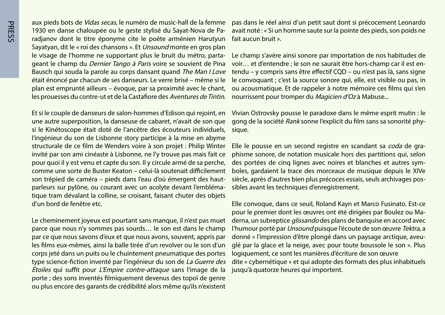aux pieds bots de *Vidas secas*, le numéro de music-hall de la femme radianov dont le titre éponyme cite le poète arménien Harutyun 1930 en danse chaloupée ou le geste stylisé du Sayat-Nova de Pa-Sayatyan, dit le « roi des chansons ». Et *Unsound* monte en gros plan geant le champ du *Dernier Tango à Paris* voire se souvient de Pina le visage de l'homme ne supportant plus le bruit du métro, parta-Bausch qui souda la parole au corps dansant quand The Man I Love était énoncé par chacun de ses danseurs. Le verre brisé – même si le plan est emprunté ailleurs – évoque, par sa proximité avec le chant, les prouesses du contre-ut et de la Castafiore des Aventures de Tintin.

Et si le couple de danseurs de salon-hommes d'Edison qui rejoint, en une autre superposition, la danseuse de cabaret, n'avait de son que si le Kinétoscope était doté de l'ancêtre des écouteurs individuels, l'ingénieur du son de Lisbonne story participe à la mise en abyme structurale de ce film de Wenders voire à son projet : Philip Winter invité par son ami cinéaste à Lisbonne, ne l'y trouve pas mais fait ce pour quoi il y est venu et capte du son. Il y circule armé de sa perche, comme une sorte de Buster Keaton – celui-là soutenait difficilement tique tram dévalant la colline, se croisant, faisant chuter des objets parleurs sur pylône, ou courant avec un acolyte devant l'emblémason trépied de caméra – pieds dans l'eau d'où émergent des hautd'un bord de fenêtre etc.

Le cheminement joyeux est pourtant sans manque, il n'est pas muet parce que nous n'y sommes pas sourds ... le son est dans le champ par ce que nous savons d'eux et que nous avons, souvent, appris par les films eux-mêmes, ainsi la balle tirée d'un revolver ou le son d'un corps jeté dans un puits ou le chuintement pneumatique des portes type science-fiction inventé par l'ingénieur du son de La Guerre des Étoiles qui suffit pour L'Empire contre-attaque sans l'image de la porte ; des sons inventés filmiquement devenus des topoï de genre ou plus encore des garants de crédibilité alors même qu'ils n'existent pas dans le réel ainsi d'un petit saut dont si précocement Leonardo avait noté : « Si un homme saute sur la pointe des pieds, son poids ne fait aucun bruit ».

Le champ s'avère ainsi sonore par importation de nos habitudes de tendu – y compris sans être effectif CQD – ou n'est pas là, sans signe voir... et d'entendre ; le son ne saurait être hors-champ car il est enle convoquant ; c'est la source sonore qui, elle, est visible ou pas, in ou acousmatique. Et de rappeler à notre mémoire ces films qui s'en nourrissent pour tromper du Magicien d'Oz à Mabuse...

Vivian Ostrovsky pousse le paradoxe dans le même esprit mutin : le gong de la société *Rank* sonne l'explicit du film sans sa sonorité phy-<br>sique.

phisme sonore, de notation musicale hors des partitions qui, selon Elle le pousse en un second registre en scandant sa coda de graboles, gardaient la trace des morceaux de musique depuis le XIVe des portées de cinq lignes avec noires et blanches et autres symsiècle, après d'autres bien plus précoces essais, seuls archivages pos-<br>sibles avant les techniques d'enregistrement.

Elle convoque, dans ce seuil, Roland Kayn et Marco Fusinato. Est-ce derna, un subreptice *glissando* des plans de banquise en accord avec pour le premier dont les œuvres ont été dirigées par Boulez ou Mal'humour porté par *Unsound* puisque l'écoute de son œuvre Tektra, a glé par la glace et la neige, avec pour toute boussole le son ». Plus donné « l'impression d'être plongé dans un paysage arctique, aveulogiquement, ce sont les manières d'écriture de son œuvre dite « cybernétique » et qui adopte des formats des plus inhabituels jusqu'à quatorze heures qui importent.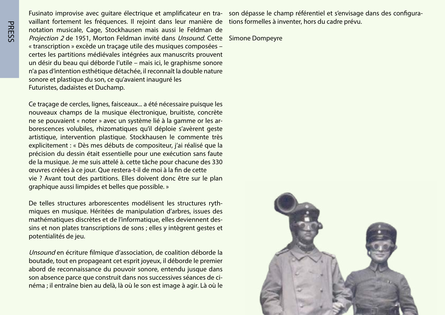**PRESS** 

vaillant fortement les fréquences. Il rejoint dans leur manière de tions formelles à inventer, hors du cadre prévu. Fusinato improvise avec guitare électrique et amplificateur en tra-àson dépasse le champ référentiel et s'envisage dans des configura-<br>vaillant fortement les fréquences. Il rejoint dans leur manière de tions formelles à in notation musicale, Cage, Stockhausen mais aussi le Feldman de Projection 2 de 1951, Morton Feldman invité dans *Unsound*. Cette Simone Dompeyre « transcription » excède un traçage utile des musiques composées certes les partitions médiévales intégrées aux manuscrits prouvent un désir du beau qui déborde l'utile – mais ici, le graphisme sonore n'a pas d'intention esthétique détachée, il reconnaît la double nature sonore et plastique du son, ce qu'avaient inauguré les Futuristes, dadaïstes et Duchamp.

Ce traçage de cercles, lignes, faisceaux ... a été nécessaire puisque les nouveaux champs de la musique électronique, bruitiste, concrète borescences volubiles, rhizomatiques qu'il déploie s'avèrent geste ne se pouvaient « noter » avec un système lié à la gamme or les arartistique, intervention plastique. Stockhausen le commente très explicitement : « Dès mes débuts de compositeur, j'ai réalisé que la précision du dessin était essentielle pour une exécution sans faute de la musique. Je me suis attelé à. cette tâche pour chacune des 330 ceuvres créées à ce jour. Que restera-t-il de moi à la fin de cette vie ? Avant tout des partitions. Elles doivent donc être sur le plan graphique aussi limpides et belles que possible. »

De telles structures arborescentes modélisent les structures ryth-<br>miques en musique. Héritées de manipulation d'arbres, issues des sins et non plates transcriptions de sons ; elles y intègrent gestes et mathématiques discrètes et de l'informatique, elles deviennent despotentialités de jeu.

Unsound en écriture filmique d'association, de coalition déborde la boutade, tout en propageant cet esprit joyeux, il déborde le premier abord de reconnaissance du pouvoir sonore, entendu jusque dans néma ; il entraîne bien au delà, là où le son est image à agir. Là où le son absence parce que construit dans nos successives séances de ci-

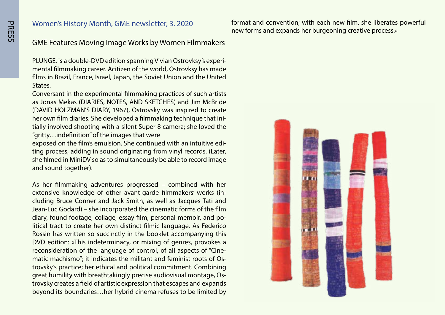#### Women's History Month, GME newsletter, 3. 2020

format and convention; with each new film, she liberates powerful new forms and expands her burgeoning creative process.»

#### **GME Features Moving Image Works by Women Filmmakers**

mental filmmaking career. Acitizen of the world, Ostrovksy has made PLUNGE, is a double-DVD edition spanning Vivian Ostrovksy's experifilms in Brazil, France, Israel, Japan, the Soviet Union and the United .States

Conversant in the experimental filmmaking practices of such artists as Jonas Mekas (DIARIES, NOTES, AND SKETCHES) and Jim McBride (DAVID HOLZMAN'S DIARY, 1967), Ostrovsky was inspired to create tially involved shooting with a silent Super 8 camera; she loved the her own film diaries. She developed a filmmaking technique that ini-" gritty... indefinition" of the images that were

ting process, adding in sound originating from vinyl records. (Later, exposed on the film's emulsion. She continued with an intuitive edishe filmed in MiniDV so as to simultaneously be able to record image and sound together).

As her filmmaking adventures progressed – combined with her cluding Bruce Conner and Jack Smith, as well as Jacques Tati and extensive knowledge of other avant-garde filmmakers' works (in-Jean-Luc Godard) – she incorporated the cinematic forms of the film litical tract to create her own distinct filmic language. As Federico diary, found footage, collage, essay film, personal memoir, and po-Rossin has written so succinctly in the booklet accompanying this DVD edition: «This indeterminacy, or mixing of genres, provokes a matic machismo"; it indicates the militant and feminist roots of Ostrovsky's practice; her ethical and political commitment. Combining reconsideration of the language of control, of all aspects of "Cine-<br>matic machismo"; it indicates the militant and feminist roots of Ostrovsky creates a field of artistic expression that escapes and expands great humility with breathtakingly precise audiovisual montage, Osbeyond its boundaries...her hybrid cinema refuses to be limited by

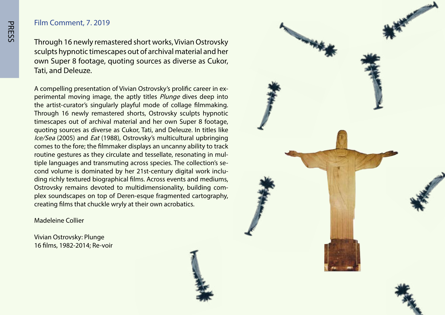#### Film Comment, 7, 2019

Through 16 newly remastered short works, Vivian Ostrovsky sculpts hypnotic timescapes out of archival material and her own Super 8 footage, quoting sources as diverse as Cukor, Tati, and Deleuze.

perimental moving image, the aptly titles *Plunge* dives deep into A compelling presentation of Vivian Ostrovsky's prolific career in exthe artist-curator's singularly playful mode of collage filmmaking. Through 16 newly remastered shorts, Ostrovsky sculpts hypnotic timescapes out of archival material and her own Super 8 footage, quoting sources as diverse as Cukor. Tati, and Deleuze, In titles like Ice/Sea (2005) and *Eat* (1988), Ostrovsky's multicultural upbringing comes to the fore; the filmmaker displays an uncanny ability to track ding richly textured biographical films. Across events and mediums, cond volume is dominated by her 21st-century digital work inclutiple languages and transmuting across species. The collection's seroutine gestures as they circulate and tessellate, resonating in mulplex soundscapes on top of Deren-esque fragmented cartography, Ostrovsky remains devoted to multidimensionality, building comcreating films that chuckle wryly at their own acrobatics.

Madeleine Collier

Vivian Ostrovsky: Plunge 16 films, 1982-2014; Re-voir

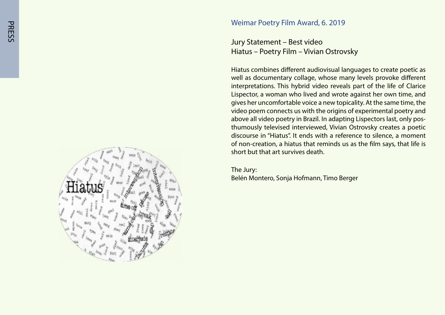

Jury Statement – Best video Hiatus – Poetry Film – Vivian Ostrovsky

Hiatus combines different audiovisual languages to create poetic as well as documentary collage, whose many levels provoke different interpretations. This hybrid video reveals part of the life of Clarice Lispector, a woman who lived and wrote against her own time, and gives her uncomfortable voice a new topicality. At the same time, the video poem connects us with the origins of experimental poetry and thumously televised interviewed, Vivian Ostrovsky creates a poetic above all video poetry in Brazil. In adapting Lispectors last, only posdiscourse in "Hiatus". It ends with a reference to silence, a moment of non-creation, a hiatus that reminds us as the film says, that life is short but that art survives death.

The Jury: Belén Montero, Sonja Hofmann, Timo Berger

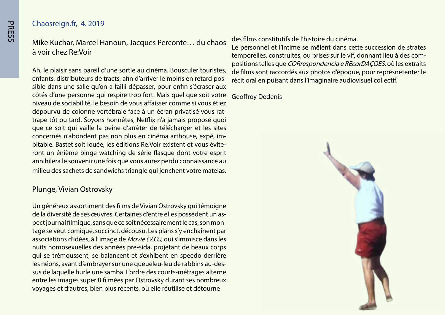#### Chaosreign.fr, 4. 2019

Mike Kuchar, Marcel Hanoun, Jacques Perconte... du chaos à voir chez Re Voir

Ah, le plaisir sans pareil d'une sortie au cinéma. Bousculer touristes, sible dans une salle qu'on a failli dépasser, pour enfin s'écraser aux enfants, distributeurs de tracts, afin d'arriver le moins en retard poscôtés d'une personne qui respire trop fort. Mais quel que soit votre niveau de sociabilité, le besoin de vous affaisser comme si vous étiez dépourvu de colonne vertébrale face à un écran privatisé vous rat-<br>trape tôt ou tard. Soyons honnêtes, Netflix n'a jamais proposé quoi que ce soit qui vaille la peine d'arrêter de télécharger et les sites ront un énième binge watching de série flasque dont votre esprit bitable. Bastet soit louée, les éditions Re: Voir existent et vous éviteconcernés n'abondent pas non plus en cinéma arthouse, expé, imannihilera le souvenir une fois que vous aurez perdu connaissance au milieu des sachets de sandwichs triangle qui jonchent votre matelas.

#### Plunge, Vivian Ostrovsky

Un généreux assortiment des films de Vivian Ostrovsky qui témoigne tage se veut comique, succinct, décousu. Les plans s'y enchaînent par pect journal filmique, sans que ce soit nécessairement le cas, son monde la diversité de ses œuvres. Certaines d'entre elles possèdent un asassociations d'idées, à l'image de Movie (V.O.), qui s'immisce dans les nuits homosexuelles des années pré-sida, projetant de beaux corps qui se trémoussent, se balancent et s'exhibent en speedo derrière sus de laquelle hurle une samba. L'ordre des courts-métrages alterne les néons, avant d'embrayer sur une queueleu-leu de rabbins au-desentre les images super 8 filmées par Ostrovsky durant ses nombreux voyages et d'autres, bien plus récents, où elle réutilise et détourne

des films constitutifs de l'histoire du cinéma.

Le personnel et l'intime se mêlent dans cette succession de strates positions telles que CORrespondencia e REcorDAÇOES, où les extraits temporelles, construites, ou prises sur le vif, donnant lieu à des comde films sont raccordés aux photos d'époque, pour représnetenter le récit oral en puisant dans l'imaginaire audiovisuel collectif.

**Geoffroy Dedenis** 

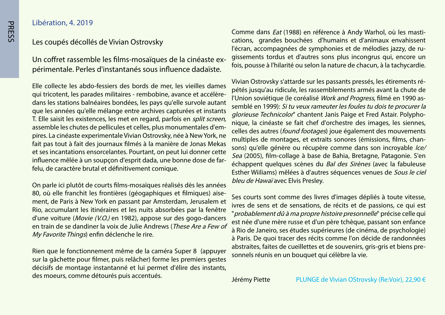#### Libération, 4. 2019

#### Les coupés décollés de Vivian Ostrovsky

périmentale. Perles d'instantanés sous influence dadaïste. Un coffret rassemble les films-mosaïques de la cinéaste ex-

Elle collecte les abdo-fessiers des bords de mer, les vieilles dames dans les stations balnéaires bondées, les pays qu'elle survole autant qui tricotent, les parades militaires - rembobine, avance et accélèreque les années qu'elle mélange entre archives capturées et instants T. Elle saisit les existences, les met en regard, parfois en *split screen*, pires. La cinéaste experimentale Vivian Ostrovsky, née à New York, ne assemble les chutes de pellicules et celles, plus monumentales d'emfait pas tout à fait des journaux filmés à la manière de Jonas Mekas et ses incantations ensorcelantes. Pourtant, on peut lui donner cette influence mêlée à un soupçon d'esprit dada, une bonne dose de far-<br>felu, de caractère brutal et définitivement comique.

On parle ici plutôt de courts films-mosaïques réalisés dès les années ment, de Paris à New York en passant par Amsterdam, Jerusalem et 80, où elle franchit les frontières (géogaphiques et filmiques) aise-Rio, accumulant les itinéraires et les nuits absorbées par la fenêtre d'une voiture (Movie (V.O.) en 1982), appose sur des gogo-dancers en train de se dandiner la voix de Julie Andrews (These Are a Few of My Favorite Things) enfin déclenche le rire.

Rien que le fonctionnement même de la caméra Super 8 (appuyer sur la gâchette pour filmer, puis relâcher) forme les premiers gestes décisifs de montage instantanné et lui permet d'élire des instants, des moeurs, comme détourés puis accentués.

cations, grandes bouchées d'humains et d'animaux envahissent Comme dans *Eat* (1988) en référence à Andy Warhol, où les mastigissements tordus et d'autres sons plus incongrus qui, encore un l'écran, accompagnées de symphonies et de mélodies jazzy, de rufois, pousse à l'hilarité ou selon la nature de chacun, à la tachycardie.

pétés jusqu'au ridicule, les rassemblements armés avant la chute de Vivian Ostrovsky s'attarde sur les passants pressés, les étirements résemblé en 1999): Si tu veux rameuter les foules tu dois te procurer la l'Union soviétique (le coréalisé *Work and Progress*, filmé en 1990 asnique, la cinéaste se fait chef d'orchestre des images, les siennes, glorieuse Technicolor" chantent Janis Paige et Fred Astair. Polyphocelles des autres (*found footages*) joue également des mouvements sons) qu'elle génère ou récupère comme dans son incroyable lce/ multiples de montages, et extraits sonores (émissions, films, chan-Sea (2005), film-collage à base de Bahia, Bretagne, Patagonie. S'en échappent quelques scènes du Bal des Sirènes (avec la fabuleuse Esther Wiiliams) mêlées à d'autres séquences venues de Sous le ciel bleu de Hawaï avec Elvis Preslev.

Ses courts sont comme des livres d'images dépliés à toute vitesse, ivres de sens et de sensations, de récits et de passions, ce qui est " probablement dû à ma propre histoire presonnelle" précise celle qui est née d'une mère russe et d'un père tchèque, passant son enfance à Rio de Janeiro, ses études supérieures (de cinéma, de psychologie) à Paris. De quoi tracer des récits comme l'on décide de randonnées abstraites, faites de cueillettes et de souvenirs, gris-gris et biens pre-<br>sonnels réunis en un bouquet qui célèbre la vie.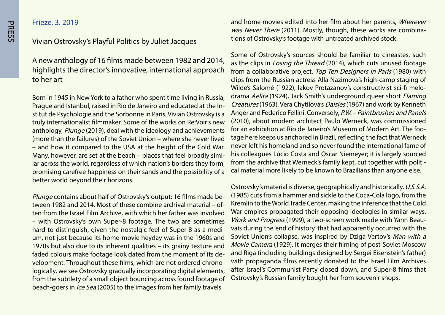Frieze, 3. 2019

#### Vivian Ostrovsky's Playful Politics by Juliet Jacques

A new anthology of 16 films made between 1982 and 2014, highlights the director's innovative, international approach to her art

Born in 1945 in New York to a father who spent time living in Russia, stitut de Psychologie and the Sorbonne in Paris, Vivian Ostrovsky is a Praque and Istanbul, raised in Rio de Janeiro and educated at the Intruly internationalist filmmaker. Some of the works on Re:Voir's new anthology, Plunge (2019), deal with the ideology and achievements lived imore than the failures) of the Soviet Union – where she never lived - and how it compared to the USA at the height of the Cold War. lar across the world, regardless of which nation's borders they form, Many, however, are set at the beach – places that feel broadly simipromising carefree happiness on their sands and the possibility of a better world beyond their horizons.

tween 1982 and 2014. Most of these combine archival material – often from the Israel Film Archive, with which her father was involved *Plunge* contains about half of Ostrovsky's output: 16 films made be-<br>tween 1982 and 2014. Most of these combine archival material – of-- with Ostrovsky's own Super-8 footage. The two are sometimes um, not just because its home-movie heyday was in the 1960s and hard to distinguish, given the nostalgic feel of Super-8 as a medi-1970s but also due to its inherent qualities – its grainy texture and logically, we see Ostrovsky gradually incorporating digital elements, velopment. Throughout these films, which are not ordered chronofaded colours make footage look dated from the moment of its defrom the subtlety of a small object bouncing across found footage of beach-goers in *Ice Sea* (2005) to the images from her family travels

and home movies edited into her film about her parents, Wherever was Never There (2011). Mostly, though, these works are combina-<br>tions of Ostrovsky's footage with untreated archived stock.

Some of Ostrovsky's sources should be familiar to cineastes, such as the clips in *Losing the Thread* (2014), which cuts unused footage from a collaborative project, Top Ten Designers in Paris (1980) with clips from the Russian actress Alla Nazimova's high-camp staging of drama Aelita (1924), Jack Smith's underground queer short Flaming Wilde's Salomé (1922), Jakov Protazanov's constructivist sci-fi melo-Creatures (1963), Vera Chytilová's Daisies (1967) and work by Kenneth Anger and Federico Fellini. Conversely, P.W. - Paintbrushes and Panels (2010), about modern architect Paulo Werneck, was commissioned tage here keeps us anchored in Brazil, reflecting the fact that Werneck for an exhibition at Rio de Janeiro's Museum of Modern Art. The foonever left his homeland and so never found the international fame of his colleagues Lúcio Costa and Oscar Niemeyer; it is largely sourced cal material more likely to be known to Brazilians than anyone else. from the archive that Werneck's family kept, cut together with politi-

Ostrovsky's material is diverse, geographically and historically. U.S.S.A. (1985) cuts from a hammer and sickle to the Coca-Cola logo, from the Kremlin to the World Trade Center, making the inference that the Cold War empires propagated their opposing ideologies in similar ways. vais during the 'end of history' that had apparently occurred with the Work and Progress (1999), a two-screen work made with Yann Beau-Soviet Union's collapse, was inspired by Dziga Vertov's Man with a *Movie Camera* (1929). It merges their filming of post-Soviet Moscow and Riga (including buildings designed by Sergei Eisenstein's father) with propaganda films recently donated to the Israel Film Archives after Israel's Communist Party closed down, and Super-8 films that Ostrovsky's Russian family bought her from souvenir shops.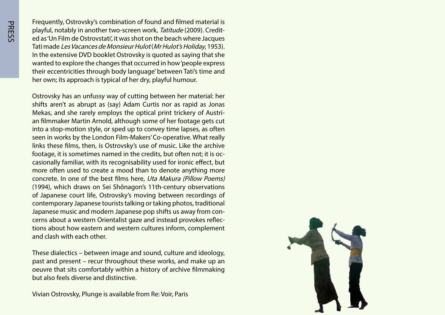Frequently, Ostrovsky's combination of found and filmed material is ed as 'Un Film de Ostrovstati', it was shot on the beach where Jacques playful, notably in another two-screen work, Tatitude (2009). Credit-Tati made Les Vacances de Monsieur Hulot (Mr Hulot's Holiday, 1953). In the extensive DVD booklet Ostrovsky is quoted as saying that she wanted to explore the changes that occurred in how 'people express their eccentricities through body language' between Tati's time and her own; its approach is typical of her dry, playful humour.

Ostrovsky has an unfussy way of cutting between her material: her shifts aren't as abrupt as (say) Adam Curtis nor as rapid as Jonas an filmmaker Martin Arnold, although some of her footage gets cut Mekas, and she rarely employs the optical print trickery of Austriinto a stop-motion style, or sped up to convey time lapses, as often seen in works by the London Film-Makers' Co-operative. What really links these films, then, is Ostrovsky's use of music. Like the archive casionally familiar, with its recognisability used for ironic effect, but footage, it is sometimes named in the credits, but often not; it is ocmore often used to create a mood than to denote anything more concrete. In one of the best films here, *Uta Makura (Pillow Poems)* (1994), which draws on Sei Shônagon's 11th-century observations of Japanese court life, Ostrovsky's moving between recordings of contemporary Japanese tourists talking or taking photos, traditional tions about how eastern and western cultures inform, complement cerns about a western Orientalist gaze and instead provokes reflec-Japanese music and modern Japanese pop shifts us away from conand clash with each other.

These dialectics – between image and sound, culture and ideology, past and present – recur throughout these works, and make up an oeuvre that sits comfortably within a history of archive filmmaking but also feels diverse and distinctive.

Vivian Ostrovsky, Plunge is available from Re: Voir, Paris

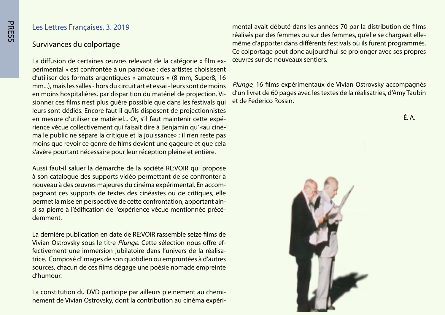#### Les Lettres Françaises, 3. 2019

#### Survivances du colportage

périmental » est confrontée à un paradoxe : des artistes choisissent La diffusion de certaines œuvres relevant de la catégorie « film exd'utiliser des formats argentiques « amateurs » (8 mm, Super8, 16 mm...), mais les salles - hors du circuit art et essai - leurs sont de moins sionner ces films n'est plus quère possible que dans les festivals qui en moins hospitalières, par disparition du matériel de projection. Vileurs sont dédiés. Encore faut-il qu'ils disposent de projectionnistes ma le public ne sépare la critique et la jouissance» ; il n'en reste pas rience vécue collectivement qui faisait dire à Benjamin qu' «au cinéen mesure d'utiliser ce matériel ... Or, s'il faut maintenir cette expémoins que revoir ce genre de films devient une gageure et que cela s'avère pourtant nécessaire pour leur réception pleine et entière.

Aussi faut-il saluer la démarche de la société RE: VOIR qui propose à son catalogue des supports vidéo permettant de se confronter à pagnant ces supports de textes des cinéastes ou de critiques, elle nouveau à des œuvres majeures du cinéma expérimental. En accomsi sa pierre à l'édification de l'expérience vécue mentionnée précé-<br>demment. permet la mise en perspective de cette confrontation, apportant ain-<br>si sa pierre à l'édification de l'expérience vécue mentionnée précépermet la mise en perspective de cette confrontation, apportant ain-

La dernière publication en date de RE: VOIR rassemble seize films de trice. Composé d'images de son quotidien ou empruntées à d'autres fectivement une immersion jubilatoire dans l'univers de la réalisa-Vivian Ostrovsky sous le titre *Plunge*. Cette sélection nous offre efsources, chacun de ces films dégage une poésie nomade empreinte d'humour.

La constitution du DVD participe par ailleurs pleinement au chemi-<br>nement de Vivian Ostrovsky, dont la contribution au cinéma expéri-

même d'apporter dans différents festivals où ils furent programmés. réalisés par des femmes ou sur des femmes, qu'elle se chargeait elle-Ce colportage peut donc aujourd'hui se prolonger avec ses propres ceuvres sur de nouveaux sentiers.

Plunge, 16 films expérimentaux de Vivian Ostrovsky accompagnés d'un livret de 60 pages avec les textes de la réalisatries, d'Amy Taubin et de Federico Rossin.



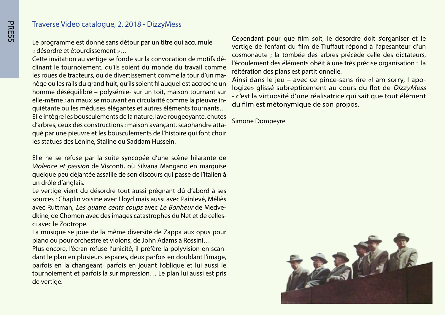## Traverse Video catalogue, 2. 2018 - DizzyMess

Le programme est donné sans détour par un titre qui accumule « désordre et étourdissement »...

clinant le tournoiement, qu'ils soient du monde du travail comme Cette invitation au vertige se fonde sur la convocation de motifs dénège ou les rails du grand huit, qu'ils soient fil auquel est accroché un les roues de tracteurs, ou de divertissement comme la tour d'un mahomme déséquilibré - polysémie- sur un toit, maison tournant sur quiétante ou les méduses élégantes et autres éléments tournants... elle-même ; animaux se mouvant en circularité comme la pieuvre in-Elle intègre les bousculements de la nature, lave rougeoyante, chutes qué par une pieuvre et les bousculements de l'histoire qui font choir d'arbres, ceux des constructions : maison avançant, scaphandre attales statues des Lénine, Staline ou Saddam Hussein.

Elle ne se refuse par la suite syncopée d'une scène hilarante de Violence et passion de Visconti, où Silvana Mangano en marquise quelque peu déjantée assaille de son discours qui passe de l'italien à un drôle d'anglais.

Le vertige vient du désordre tout aussi prégnant dû d'abord à ses sources : Chaplin voisine avec Lloyd mais aussi avec Painlevé, Méliès dkine, de Chomon avec des images catastrophes du Net et de celles-<br>ci avec le Zootrope. avec Ruttman*, Les quatre cents coups* avec *Le Bonheur* de Medve-<br>dkine, de Chomon avec des images catastrophes du Net et de cellesavec Ruttman, Les quatre cents coups avec Le Bonheur de Medve-

La musique se joue de la même diversité de Zappa aux opus pour piano ou pour orchestre et violons, de John Adams à Rossini...

dant le plan en plusieurs espaces, deux parfois en doublant l'image, Plus encore, l'écran refuse l'unicité, il préfère la polyvision en scanparfois en la changeant, parfois en jouant l'oblique et lui aussi le tournoiement et parfois la surimpression... Le plan lui aussi est pris de vertige.

Cependant pour que film soit, le désordre doit s'organiser et le vertige de l'enfant du film de Truffaut répond à l'apesanteur d'un cosmonaute ; la tombée des arbres précède celle des dictateurs, l'écoulement des éléments obéit à une très précise organisation : la réitération des plans est partitionnelle.

logize» glissé subrepticement au cours du flot de *DizzyMess* Ainsi dans le jeu – avec ce pince-sans rire «I am sorry, I apo-- c'est la virtuosité d'une réalisatrice qui sait que tout élément du film est métonymique de son propos.

**Simone Dompeyre** 

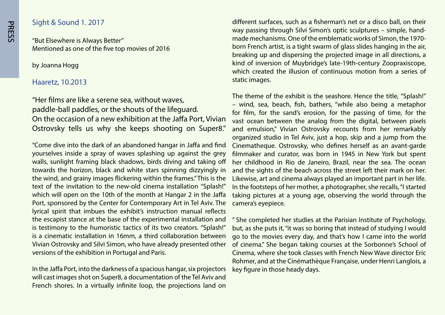#### **2017** Sight & Sound 1, 2017

"But Elsewhere is Always Better" Mentioned as one of the five top movies of 2016

by Joanna Hogg

#### Haaretz, 10.2013

"Her films are like a serene sea, without waves, paddle-ball paddles, or the shouts of the lifequard. On the occasion of a new exhibition at the Jaffa Port, Vivian Ostrovsky tells us why she keeps shooting on Super8."

"Come dive into the dark of an abandoned hangar in Jaffa and find yourselves inside a spray of waves splashing up against the grey walls, sunlight framing black shadows, birds diving and taking off towards the horizon, black and white stars spinning dizzyingly in the wind, and grainy images flickering within the frames." This is the text of the invitation to the new-old cinema installation "Splash!" which will open on the 10th of the month at Hangar 2 in the Jaffa Port, sponsored by the Center for Contemporary Art in Tel Aviv. The Ivrical spirit that imbues the exhibit's instruction manual reflects the escapist stance at the base of the experimental installation and is testimony to the humoristic tactics of its two creators. "Splash!" is a cinematic installation in 16mm, a third collaboration between Vivian Ostrovsky and Silvi Simon, who have already presented other versions of the exhibition in Portugal and Paris.

In the Jaffa Port, into the darkness of a spacious hangar, six projectors will cast images shot on Super8, a documentation of the Tel Aviv and French shores. In a virtually infinite loop, the projections land on different surfaces, such as a fisherman's net or a disco ball, on their made mechanisms. One of the emblematic works of Simon, the 1970way passing through Silvi Simon's optic sculptures – simple, handborn French artist, is a tight swarm of glass slides hanging in the air, breaking up and dispersing the projected image in all directions, a kind of inversion of Muybridge's late-19th-century Zoopraxiscope, which created the illusion of continuous motion from a series of static images.

The theme of the exhibit is the seashore. Hence the title, "Splash!" – wind, sea, beach, fish, bathers, "while also being a metaphor for film, for the sand's erosion, for the passing of time, for the vast ocean between the analog from the digital, between pixels and emulsion," Vivian Ostrovsky recounts from her remarkably organized studio in Tel Aviv, just a hop, skip and a jump from the Cinematheque. Ostrovsky, who defines herself as an avant-garde filmmaker and curator, was born in 1945 in New York but spent her childhood in Rio de Janeiro, Brazil, near the sea. The ocean and the sights of the beach across the street left their mark on her. Likewise, art and cinema always played an important part in her life. In the footsteps of her mother, a photographer, she recalls, "I started taking pictures at a young age, observing the world through the camera's eyepiece.

" She completed her studies at the Parisian Institute of Psychology, but, as she puts it, "it was so boring that instead of studying I would go to the movies every day, and that's how I came into the world of cinema." She began taking courses at the Sorbonne's School of Cinema, where she took classes with French New Wave director Eric Rohmer, and at the Cinémathèque Française, under Henri Langlois, a key figure in those heady days.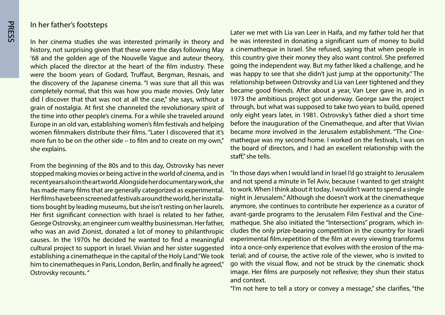#### In her father's footsteps

In her cinema studies she was interested primarily in theory and history, not surprising given that these were the days following May '68 and the golden age of the Nouvelle Vague and auteur theory, which placed the director at the heart of the film industry. These were the boom years of Godard, Truffaut, Bergman, Resnais, and the discovery of the Japanese cinema. "I was sure that all this was completely normal, that this was how you made movies. Only later did I discover that that was not at all the case," she says, without a grain of nostalgia. At first she channeled the revolutionary spirit of the time into other people's cinema. For a while she traveled around Europe in an old van, establishing women's film festivals and helping women filmmakers distribute their films. "I ater I discovered that it's more fun to be on the other side – to film and to create on my own," she explains.

From the beginning of the 80s and to this day, Ostrovsky has never stopped making movies or being active in the world of cinema, and in recent years also in the art world. Alongside her documentary work, she has made many films that are generally categorized as experimental. tions bought by leading museums, but she isn't resting on her laurels. Her films have been screened at festivals around the world, her installa-Her first significant connection with Israel is related to her father, George Ostrovsky, an engineer cum wealthy businessman. Her father, who was an avid Zionist, donated a lot of money to philanthropic causes. In the 1970s he decided he wanted to find a meaningful cultural project to support in Israel. Vivian and her sister suggested establishing a cinematheque in the capital of the Holy Land. "We took him to cinematheques in Paris, London, Berlin, and finally he agreed," Ostrovsky recounts."

Later we met with Lia van Leer in Haifa, and my father told her that he was interested in donating a significant sum of money to build a cinematheque in Israel. She refused, saying that when people in this country give their money they also want control. She preferred going the independent way. But my father liked a challenge, and he was happy to see that she didn't just jump at the opportunity." The relationship between Ostrovsky and Lia van Leer tightened and they became good friends. After about a year, Van Leer gave in, and in 1973 the ambitious project got underway. George saw the project through, but what was supposed to take two years to build, opened only eight years later, in 1981. Ostrovsky's father died a short time before the inauguration of the Cinematheque, and after that Vivian matheque was my second home. I worked on the festivals, I was on became more involved in the Jerusalem establishment. "The Cinethe board of directors, and I had an excellent relationship with the staff." she tells.

"In those days when I would land in Israel I'd go straight to Jerusalem and not spend a minute in Tel Aviv, because I wanted to get straight to work. When I think about it today, I wouldn't want to spend a single night in Jerusalem." Although she doesn't work at the cinematheque anymore, she continues to contribute her experience as a curator of cludes the only prize-bearing competition in the country for Israeli matheque. She also initiated the "Intersections" program, which inavant-garde programs to the Jerusalem Film Festival and the Cineexperimental film.repetition of the film at every viewing transforms terial; and of course, the active role of the viewer, who is invited to into a once-only experience that evolves with the erosion of the mago with the visual flow, and not be struck by the cinematic shock image. Her films are purposely not reflexive; they shun their status and context.

"I'm not here to tell a story or convey a message," she clarifies, "the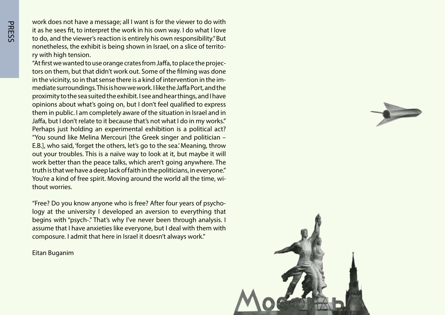work does not have a message; all I want is for the viewer to do with it as he sees fit, to interpret the work in his own way. I do what I love to do, and the viewer's reaction is entirely his own responsibility." But nonetheless, the exhibit is being shown in Israel, on a slice of territo-<br>ry with high tension.

tors on them, but that didn't work out. Some of the filming was done "At first we wanted to use orange crates from Jaffa, to place the projecmediate surroundings. This is how we work. I like the Jaffa Port, and the in the vicinity, so in that sense there is a kind of intervention in the improximity to the sea suited the exhibit. I see and hear things, and I have opinions about what's going on, but I don't feel qualified to express them in public. I am completely aware of the situation in Israel and in Jaffa, but I don't relate to it because that's not what I do in my works." Perhaps just holding an experimental exhibition is a political act? "You sound like Melina Mercouri [the Greek singer and politician -E.B.], who said, 'forget the others, let's go to the sea.' Meaning, throw out your troubles. This is a naïve way to look at it, but maybe it will work better than the peace talks, which aren't going anywhere. The truth is that we have a deep lack of faith in the politicians, in everyone." You're a kind of free spirit. Moving around the world all the time, wi-<br>thout worries.

logy at the university I developed an aversion to everything that "Free? Do you know anyone who is free? After four years of psychobegins with "psych-." That's why I've never been through analysis. I assume that I have anxieties like everyone, but I deal with them with composure. I admit that here in Israel it doesn't always work."

**Eitan Buganim** 

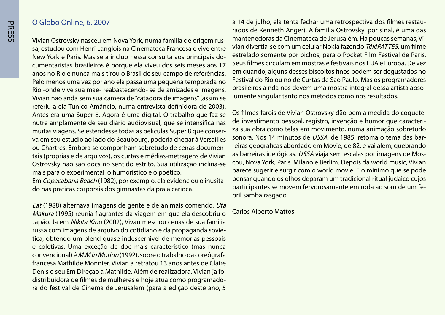#### O Globo Online, 6, 2007

sa, estudou com Henri Langlois na Cinemateca Francesa e vive entre Vivian Ostrovsky nasceu em Nova York, numa familia de origem ruscumentaristas brasileiros é porque ela viveu dos seis meses aos 17 New York e Paris. Mas se a incluo nessa consulta aos principais doanos no Rio e nunca mais tirou o Brasil de seu campo de referências. Pelo menos uma vez por ano ela passa uma pequena temporada no Rio -onde vive sua mae- reabastecendo- se de amizades e imagens. Vivian não anda sem sua camera de "catadora de imagens" (assim se referiu a ela Tunico Amâncio, numa entrevista definidora de 2003). Antes era uma Super 8. Agora é uma digital. O trabalho que faz se nutre amplamente de seu diário audiovisual, que se intensifica nas va em seu estudio ao lado do Beaubourg, poderia chegar à Versailles muitas viagens. Se estendesse todas as peliculas Super 8 que consertais (proprias e de arquivos), os curtas e médias-metragens de Vivian ou Chartres. Embora se componham sobretudo de cenas documen-Ostrovsky não são docs no sentido estrito. Sua utilização inclina-se mais para o experimental, o humoristico e o poético.

Em *Copacabana Beach* (1982), por exemplo, ela evidenciou o inusita-<br>do nas praticas corporais dos gimnastas da praia carioca.

Eat (1988) alternava imagens de gente e de animais comendo. Uta Makura (1995) reunia flagrantes da viagem em que ela descobriu o Japão. Ja em Nikita Kino (2002), Vivan mesclou cenas de sua familia russa com imagens de arquivo do cotidiano e da propaganda sovié-<br>tica, obtendo um blend quase indescernivel de memorias pessoais e coletivas. Uma exceção de doc mais caracteristico (mas nunca convencional) é *M.M in Motion* (1992), sobre o trabalho da coreógrafa francesa Mathilde Monnier. Vivian a retratou 13 anos antes de Claire Denis o seu Em Direçao a Mathilde. Além de realizadora, Vivian ja foi ra do festival de Cinema de Jerusalem (para a edição deste ano, 5 distribuidora de filmes de mulheres e hoje atua como programado-

rados de Kenneth Anger). A familia Ostrovsky, por sinal, é uma das a 14 de julho, ela tenta fechar uma retrospectiva dos filmes restauvian divertia-se com um celular Nokia fazendo TéléPATTES, um filme mantenedoras da Cinemateca de Jerusalém. Ha poucas semanas, Viestrelado somente por bichos, para o Pocket Film Festival de Paris. Seus filmes circulam em mostras e festivais nos EUA e Europa. De vez em quando, alguns desses biscoitos finos podem ser dequstados no Festival do Rio ou no de Curtas de Sao Paulo. Mas os programadores lumente singular tanto nos métodos como nos resultados. brasileiros ainda nos devem uma mostra integral dessa artista abso-

Os filmes-farois de Vivian Ostrovsky dão bem a medida do coquetel za sua obra.como telas em movimento, numa animação sobretudo de investimento pessoal, registro, invenção e humor que caracterireiras geograficas abordado em Movie, de 82, e vai além, quebrando sonora. Nos 14 minutos de *USSA*, de 1985, retoma o tema das barcou, Nova York, Paris, Milano e Berlim. Depois da world music, Vivian as barreiras idelógicas. USSA viaja sem escalas por imagens de Mosparece sugerir e surgir com o world movie. E o minimo que se pode pensar quando os olhos deparam um tradicional ritual judaico cujos participantes se movem fervorosamente em roda ao som de um fe-<br>bril samba rasgado.

#### Carlos Alberto Mattos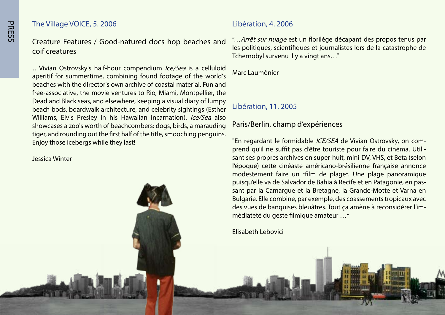#### The Village VOICE, 5. 2006

Creature Features / Good-natured docs hop beaches and coif creatures

... Vivian Ostrovsky's half-hour compendium *Ice/Sea* is a celluloid aperitif for summertime, combining found footage of the world's beaches with the director's own archive of coastal material. Fun and free-associative, the movie ventures to Rio, Miami, Montpellier, the Dead and Black seas, and elsewhere, keeping a visual diary of lumpy beach bods, boardwalk architecture, and celebrity sightings (Esther Williams, Elvis Presley in his Hawaiian incarnation). Ice/Sea also showcases a zoo's worth of beachcombers: dogs, birds, a marauding tiger, and rounding out the first half of the title, smooching penguins. Enjoy those icebergs while they last!

Winter Jessica

#### Libération, 4. 2006

"... Arrêt sur nuage est un florilège décapant des propos tenus par les politiques, scientifiques et journalistes lors de la catastrophe de Tchernobyl survenu il y a vingt ans..."

Marc Laumônier

## Libération, 11. 2005

# Paris/Berlin, champ d'expériences

sant ses propres archives en super-huit, mini-DV, VHS, et Beta (selon prend qu'il ne suffit pas d'être touriste pour faire du cinéma. Utili-"En regardant le formidable *ICE/SEA* de Vivian Ostrovsky, on coml'époque) cette cinéaste américano-brésilienne française annonce modestement faire un "film de plage". Une plage panoramique sant par la Camarque et la Bretagne, la Grande-Motte et Varna en puis qu'elle va de Salvador de Bahia à Recife et en Patagonie, en pas-Bulgarie. Elle combine, par exemple, des coassements tropicaux avec des vues de banquises bleuâtres. Tout ça amène à reconsidérer l'im-<br>médiateté du geste filmique amateur ...″

Elisabeth Lebovici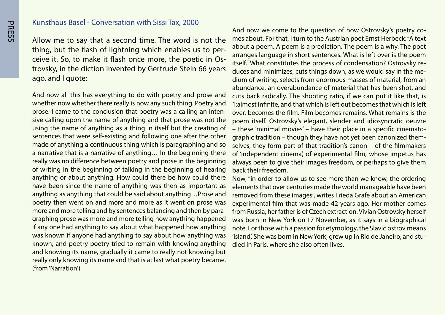#### Kunsthaus Basel - Conversation with Sissi Tax, 2000

Allow me to say that a second time. The word is not the trovsky, in the diction invented by Gertrude Stein 66 years ceive it. So, to make it flash once more, the poetic in Osthing, but the flash of lightning which enables us to perago, and I quote:

And now all this has everything to do with poetry and prose and whether now whether there really is now any such thing. Poetry and sive calling upon the name of anything and that prose was not the prose. I came to the conclusion that poetry was a calling an intenusing the name of anything as a thing in itself but the creating of sentences that were self-existing and following one after the other made of anything a continuous thing which is paragraphing and so a narrative that is a narrative of anything ... In the beginning there really was no difference between poetry and prose in the beginning of writing in the beginning of talking in the beginning of hearing anything or about anything. How could there be how could there have been since the name of anything was then as important as anything as anything that could be said about anything...Prose and poetry then went on and more and more as it went on prose was graphing prose was more and more telling how anything happened more and more telling and by sentences balancing and then by paraif any one had anything to say about what happened how anything was known if anyone had anything to say about how anything was known, and poetry poetry tried to remain with knowing anything and knowing its name, gradually it came to really not knowing but really only knowing its name and that is at last what poetry became. (from 'Narration')

mes about. For that, I turn to the Austrian poet Ernst Herbeck: "A text And now we come to the question of how Ostrovsky's poetry coabout a poem. A poem is a prediction. The poem is a why. The poet arranges language in short sentences. What is left over is the poem dium of writing, selects from enormous masses of material, from an duces and minimizes, cuts things down, as we would say in the meitself." What constitutes the process of condensation? Ostrovsky reabundance, an overabundance of material that has been shot, and cuts back radically. The shooting ratio, if we can put it like that, is 1: almost infinite, and that which is left out becomes that which is left over, becomes the film. Film becomes remains. What remains is the poem itself. Ostrovsky's elegant, slender and idiosyncratic oeuvre selves, they form part of that tradition's canon – of the filmmakers graphic tradition – though they have not yet been canonized them- $-$  these 'minimal movies' – have their place in a specific cinematoof 'independent cinema', of experimental film, whose impetus has always been to give their images freedom, or perhaps to give them back their freedom.

Now, "in order to allow us to see more than we know, the ordering elements that over centuries made the world manageable have been removed from these images", writes Frieda Grafe about an American experimental film that was made 42 years ago. Her mother comes from Russia, her father is of Czech extraction. Vivian Ostrovsky herself was born in New York on 17 November, as it says in a biographical note. For those with a passion for etymology, the Slavic ostrov means 'island'. She was born in New York, grew up in Rio de Janeiro, and stu-<br>died in Paris, where she also often lives.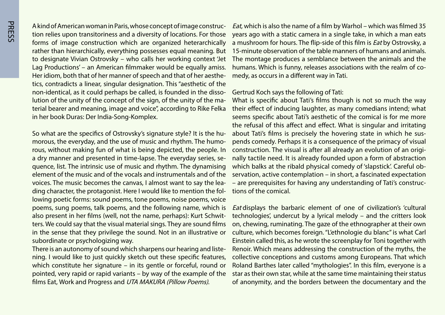tion relies upon transitoriness and a diversity of locations. For those A kind of American woman in Paris, whose concept of image construcforms of image construction which are organized heterarchically rather than hierarchically, everything possesses equal meaning. But to designate Vivian Ostrovsky – who calls her working context 'Jet Lag Productions' – an American filmmaker would be equally amiss. tics, contradicts a linear, singular designation. This "aesthetic of the Her idiom, both that of her manner of speech and that of her aestheterial bearer and meaning, image and voice", according to Rike Felka lution of the unity of the concept of the sign, of the unity of the manon-identical, as it could perhaps be called, is founded in the dissoin her book Duras: Der India-Song-Komplex.

rous, without making fun of what is being depicted, the people. In morous, the everyday, and the use of music and rhythm. The humo-So what are the specifics of Ostrovsky's signature style? It is the huquence, list. The intrinsic use of music and rhythm. The dynamising a dry manner and presented in time-lapse. The everyday series, seelement of the music and of the vocals and instrumentals and of the ding character, the protagonist. Here I would like to mention the following poetic forms: sound poems, tone poems, noise poems, voice voices. The music becomes the canvas, I almost want to say the lea-<br>ding character, the protagonist. Here I would like to mention the folpoems, sung poems, talk poems, and the following name, which is ters. We could say that the visual material sings. They are sound films also present in her films (well, not the name, perhaps): Kurt Schwitin the sense that they privilege the sound. Not in an illustrative or subordinate or psychologizing way.

ning. I would like to just quickly sketch out these specific features, There is an autonomy of sound which sharpens our hearing and listewhich constitute her signature – in its gentle or forceful, round or pointed, very rapid or rapid variants – by way of the example of the films Eat, Work and Progress and UTA MAKURA (Pillow Poems).

*Eat*, which is also the name of a film by Warhol – which was filmed 35 years ago with a static camera in a single take, in which a man eats a mushroom for hours. The flip-side of this film is *Eat* by Ostrovsky, a 15-minute observation of the table manners of humans and animals. The montage produces a semblance between the animals and the humans. Which is funny, releases associations with the realm of co-<br>medy, as occurs in a different way in Tati.

#### Gertrud Koch says the following of Tati:

What is specific about Tati's films though is not so much the way their effect of inducing laughter, as many comedians intend; what seems specific about Tati's aesthetic of the comical is for me more the refusal of this affect and effect. What is singular and irritating pends comedy. Perhaps it is a consequence of the primacy of visual about Tati's films is precisely the hovering state in which he susnally tactile need. It is already founded upon a form of abstraction construction. The visual is after all already an evolution of an origiservation, active contemplation – in short, a fascinated expectation which balks at the ribald physical comedy of 'slapstick'. Careful ob-– are prerequisites for having any understanding of Tati's construc-<br>tions of the comical.

Eat displays the barbaric element of one of civilization's 'cultural technologies', undercut by a lyrical melody – and the critters look on, chewing, ruminating. The gaze of the ethnographer at their own culture, which becomes foreign. "L'ethnologie du blanc" is what Carl Einstein called this, as he wrote the screenplay for Toni together with Renoir. Which means addressing the construction of the myths, the collective conceptions and customs among Europeans. That which Roland Barthes later called "mythologies". In this film, everyone is a star as their own star, while at the same time maintaining their status of anonymity, and the borders between the documentary and the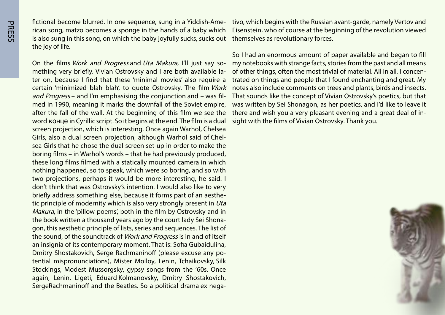rican song, matzo becomes a sponge in the hands of a baby which fictional become blurred. In one sequence, sung in a Yiddish-Ameis also sung in this song, on which the baby joyfully sucks, sucks out the joy of life.

ter on, because I find that these 'minimal movies' also require a mething very briefly. Vivian Ostrovsky and I are both available la-On the films Work and Progress and Uta Makura, I'll just say socertain 'minimized blah blah', to quote Ostrovsky. The film Work med in 1990, meaning it marks the downfall of the Soviet empire, and Progress – and I'm emphasising the conjunction and – was filafter the fall of the wall. At the beginning of this film we see the word конце in Cyrillic script. So it begins at the end. The film is a dual screen projection, which is interesting. Once again Warhol, Chelsea sea Girls that he chose the dual screen set-up in order to make the Girls, also a dual screen projection, although Warhol said of Chelboring films – in Warhol's words – that he had previously produced, these long films filmed with a statically mounted camera in which nothing happened, so to speak, which were so boring, and so with two projections, perhaps it would be more interesting, he said. I don't think that was Ostrovsky's intention. I would also like to very tic principle of modernity which is also very strongly present in  $Uta$ briefly address something else, because it forms part of an aesthe-*Makura*, in the 'pillow poems', both in the film by Ostrovsky and in gon, this aesthetic principle of lists, series and sequences. The list of the book written a thousand years ago by the court lady Sei Shonathe sound, of the soundtrack of Work and Progress is in and of itself an insignia of its contemporary moment. That is: Sofia Gubaidulina, tential mispronunciations), Mister Molloy, Lenin, Tchaikovsky, Silk Dmitry Shostakovich, Serge Rachmaninoff (please excuse any po-Stockings, Modest Mussorgsky, gypsy songs from the '60s. Once again, Lenin, Ligeti, Eduard Kolmanovsky, Dmitry Shostakovich, SergeRachmaninoff and the Beatles. So a political drama ex nega-

Eisenstein, who of course at the beginning of the revolution viewed themselves as revolutionary forces.

Fisonstine begins with the Russian avant-garde, namely Vertov and<br>
Eisenstein, who of course at the beginning of the revolution viewed<br>
thenmselves as revolutionary forces.<br>
So I had an enormous amount of paper available a So I had an enormous amount of paper available and began to fill my notebooks with strange facts, stories from the past and all means trated on things and people that I found enchanting and great. My of other things, often the most trivial of material. All in all, I concennotes also include comments on trees and plants, birds and insects. That sounds like the concept of Vivian Ostrovsky's poetics, but that was written by Sei Shonagon, as her poetics, and I'd like to leave it there and wish you a very pleasant evening and a great deal of in-<br>sight with the films of Vivian Ostrovsky. Thank you.

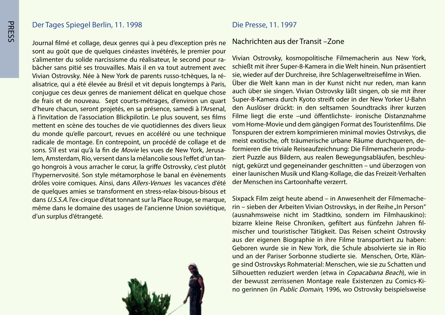#### Der Tages Spiegel Berlin, 11. 1998

Journal filmé et collage, deux genres qui à peu d'exception près ne sont au goût que de quelques cinéastes invétérés, le premier pour bâcher sans pitié ses trouvailles. Mais il en va tout autrement avec s'alimenter du solide narcissisme du réalisateur, le second pour raalisatrice, qui a été élevée au Brésil et vit depuis longtemps à Paris, Vivian Ostrovsky. Née à New York de parents russo-tchèques, la réconjugue ces deux genres de maniement délicat en quelque chose de frais et de nouveau. Sept courts-métrages, d'environ un quart d'heure chacun, seront projetés, en sa présence, samedi à l'Arsenal, à l'invitation de l'association Blickpilotin. Le plus souvent, ses films mettent en scène des touches de vie quotidiennes des divers lieux du monde qu'elle parcourt, revues en accéléré ou une technique radicale de montage. En contrepoint, un procédé de collage et de go hongrois à vous arracher le cœur, la griffe Ostrovsky, c'est plutôt tem, Amsterdam, Rio, versent dans la mélancolie sous l'effet d'un tansons. S'il est vrai qu'à la fin de Movie les vues de New York, Jerusal'hypernervosité. Son style métamorphose le banal en évènements drôles voire comiques. Ainsi, dans Allers-Venues les vacances d'été de quelques amies se transforment en stress-relax-bisous-bisous et dans U.S.S.A. l'ex-cirque d'état tonnant sur la Place Rouge, se marque, même dans le domaine des usages de l'ancienne Union soviétique. d'un surplus d'étrangeté.



#### Die Presse, 11. 1997

#### Nachrichten aus der Transit –Zone

Vivian Ostrovsky, kosmopolitische Filmemacherin aus New York, schießt mit ihrer Super-8-Kamera in die Welt hinein. Nun präsentiert sie, wieder auf der Durchreise, ihre Schlagerweltreisefilme in Wien. Über die Welt kann man in der Kunst nicht nur reden, man kann auch über sie singen. Vivian Ostrovsky läßt singen, ob sie mit ihrer Super-8-Kamera durch Kyoto streift oder in der New Yorker U-Bahn den Auslöser drückt: in den seltsamen Soundtracks ihrer kurzen Filme liegt die erste -und öffentlichste- ironische Distanznahme vom Home-Movie und dem gängigen Format des Touristenfilms. Die Tonspuren der extrem komprimieren minimal movies Ostrvskys, die nigt, gekürzt und gegeneinander geschnitten – und überzogen von ziert Puzzle aus Bildern, aus realen Bewegungsabläufen, beschleuformieren die triviale Reiseaufzeichnung: Die Filmemacherin produmeist exotische, oft träumerische urbane Räume durchqueren, deeiner launischen Musik und Klang-Kollage, die das Freizeit-Verhalten der Menschen ins Cartoonhafte verzerrt.

rin - sieben der Arbeiten Vivian Ostrovskys, in der Reihe "In Person" Sixpack Film zeigt heute abend – in Anwesenheit der Filmemache-(ausnahmsweise nicht im Stadtkino, sondern im Filmhauskino): mischer und touristischer Tätigkeit. Das Reisen scheint Ostrovsky bizarre kleine Reise Chroniken, gefiltert aus fünfzehn Jahren filaus der eigenen Biographie in ihre Filme transportiert zu haben: Geboren wurde sie in New York, die Schule absolvierte sie in Rio ge sind Ostrovskys Rohmaterial: Menschen, wie sie zu Schatten und und an der Pariser Sorbonne studierte sie. Menschen, Orte, Klän-Silhouetten reduziert werden (etwa in Copacabana Beach), wie in no gerinnen (in Public Domain, 1996, wo Ostrovsky beispielsweise der bewusst zerrissenen Montage reale Existenzen zu Comics-Ki-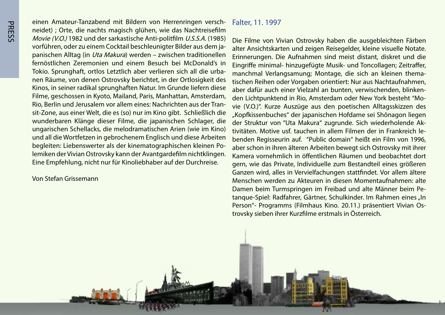neidet) ; Orte, die nachts magisch glühen, wie das Nachtreisefilm einen Amateur-Tanzabend mit Bildern von Herrenringen versch-Movie (V.O.) 1982 und der sarkastische Anti-politfilm U.S.S.A. (1985) panischen Alltag (in *Uta Makura*) werden – zwischen traditionellen vorführen, oder zu einem Cocktail beschleunigter Bilder aus dem jafernöstlichen Zeremonien und einem Besuch bei McDonald's in nen Räume, von denen Ostrovsky berichtet, in der Ortlosigkeit des Tokio. Sprunghaft, ortlos Letztlich aber verlieren sich all die urba-Kinos, in seiner radikal sprunghaften Natur. Im Grunde liefern diese Filme, geschossen in Kyoto, Mailand, Paris, Manhattan, Amsterdam, sit-Zone, aus einer Welt, die es (so) nur im Kino gibt. Schließlich die Rio, Berlin und Jerusalem vor allem eines: Nachrichten aus der Tranwunderbaren Klänge dieser Filme, die japanischen Schlager, die ungarischen Schellacks, die melodramatischen Arien (wie im Kino) und all die Wortfetzen in gebrochenem Englisch und diese Arbeiten lemiken der Vivian Ostrovsky kann der Avantgardefilm nichtklingen. begleiten: Liebenswerter als der kinematographischen kleinen Po-Eine Empfehlung, nicht nur für Kinoliebhaber auf der Durchreise.

Von Stefan Grissemann

#### Falter, 11. 1997

1998 11. Juli 2008

Die Filme von Vivian Ostrovsky haben die ausgebleichten Färben alter Ansichtskarten und zeigen Reisegelder, kleine visuelle Notate. Erinnerungen. Die Aufnahmen sind meist distant, diskret und die Eingriffe minimal- hinzugefügte Musik- und Toncollagen; Zeitraffer, tischen Reihen oder Vorgaben orientiert: Nur aus Nachtaufnahmen, manchmal Verlangsamung; Montage, die sich an kleinen themavie (V.O.)". Kurze Auszüge aus den poetischen Alltagsskizzen des den Lichtpunktend in Rio, Amsterdam oder New York besteht "Moaber dafür auch einer Vielzahl an bunten, verwischenden, blinken-"Kopfkissenbuches" der japanischen Hofdame sei Shônagon liegen benden Regisseurin auf. "Public domain" heißt ein Film von 1996, tivitäten. Motive usf, tauchen in allem Filmen der in Frankreich leder Struktur von "Uta Makura" zugrunde. Sich wiederholende Akaber schon in ihren älteren Arbeiten bewegt sich Ostrovsky mit ihrer Kamera vornehmlich in öffentlichen Räumen und beobachtet dort gern, wie das Private, Individuelle zum Bestandteil eines größeren Ganzen wird, alles in Vervielfachungen stattfindet. Vor allem ältere Menschen werden zu Akteuren in diesen Momentaufnahmen: alte tanque-Spiel: Radfahrer, Gärtner, Schulkinder. Im Rahmen eines "In Damen beim Turmspringen im Freibad und alte Männer beim Pe-Person"- Programms (Filmhaus Kino. 20.11.) präsentiert Vivian Os-<br>trovsky sieben ihrer Kurzfilme erstmals in Österreich.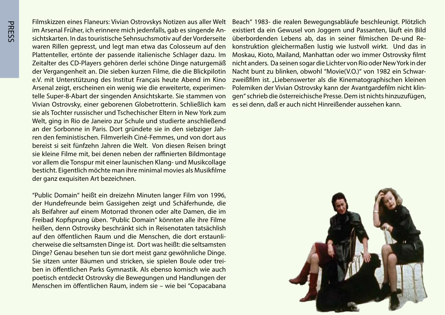Filmskizzen eines Flaneurs: Vivian Ostrovskys Notizen aus aller Welt sichtskarten. In das touristische Sehnsuchsmotiv auf der Vorderseite im Arsenal Früher, ich erinnere mich jedenfalls, gab es singende Anwaren Rillen gepresst, und legt man etwa das Colosseum auf den Plattenteller, ertönte der passende italienische Schlager dazu. Im Zeitalter des CD-Players gehören derlei schöne Dinge naturgemäß der Vergangenheit an. Die sieben kurzen Filme, die die Blickpilotin e.V. mit Unterstützung des Institut Français heute Abend im Kino telle Super-8-Abart der singenden Ansichtskarte. Sie stammen von Arsenal zeigt, erscheinen ein wenig wie die erweiterte, experimen-Vivian Ostrovsky, einer geborenen Globetrotterin. Schließlich kam sie als Tochter russischer und Tschechischer Eltern in New York zum Welt, ging in Rio de Janeiro zur Schule und studierte anschließend ren den feministischen. Filmverleih Ciné-Femmes, und von dort aus an der Sorbonne in Paris. Dort gründete sie in den siebziger Jahbereist si seit fünfzehn Jahren die Welt. Von diesen Reisen bringt sie kleine Filme mit, bei denen neben der raffinierten Bildmontage vor allem die Tonspur mit einer launischen Klang- und Musikcollage besticht. Eigentlich möchte man ihre minimal movies als Musikfilme der ganz exquisiten Art bezeichnen.

"Public Domain" heißt ein dreizehn Minuten langer Film von 1996, der Hundefreunde beim Gassigehen zeigt und Schäferhunde, die als Beifahrer auf einem Motorrad thronen oder alte Damen, die im Freibad Kopfsprung üben. "Public Domain" könnten alle ihre Filme heißen, denn Ostrovsky beschränkt sich in Reisenotaten tatsächlish cherweise die seltsamsten Dinge ist. Dort was heißt: die seltsamsten auf den öffentlichen Raum und die Menschen, die dort erstaunli-Dinge? Genau besehen tun sie dort meist ganz gewöhnliche Dinge. ben in öffentlichen Parks Gymnastik. Als ebenso komisch wie auch Sie sitzen unter Bäumen und stricken, sie spielen Boule oder treipoetisch entdeckt Ostrovsky die Bewegungen und Handlungen der Menschen im öffentlichen Raum, indem sie – wie bei "Copacabana

Beach" 1983- die realen Bewegungsabläufe beschleunigt. Plötzlich existiert da ein Gewusel von Joggern und Passanten, läuft ein Bild konstruktion gleichermaßen lustig wie lustvoll wirkt. Und das in überbordenden Lebens ab, das in seiner filmischen De-und Re-Moskau, Kioto, Mailand, Manhattan oder wo immer Ostrovsky filmt nicht anders. Da seinen sogar die Lichter von Rio oder New York in der zweißfilm ist. "Liebenswerter als die Kinematographischen kleinen Nacht bunt zu blinken, obwohl "Movie (V.O.)" von 1982 ein Schwargen" schrieb die österreichische Presse. Dem ist nichts hinzuzufügen, Polemiken der Vivian Ostrovsky kann der Avantgardefilm nicht klines sei denn, daß er auch nicht Hinreißender aussehen kann.

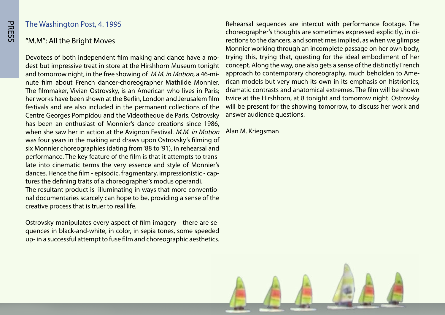#### The Washington Post, 4. 1995

#### "M.M": All the Bright Moves

dest but impressive treat in store at the Hirshhorn Museum tonight Devotees of both independent film making and dance have a monute film about French dancer-choreographer Mathilde Monnier. and tomorrow night, in the free showing of *M.M. in Motion*, a 46-mi-The filmmaker, Vivian Ostrovsky, is an American who lives in Paris; her works have been shown at the Berlin, London and Jerusalem film festivals and are also included in the permanent collections of the Centre Georges Pompidou and the Videotheque de Paris. Ostrovsky has been an enthusiast of Monnier's dance creations since 1986. when she saw her in action at the Avignon Festival. M.M. in Motion was four years in the making and draws upon Ostrovsky's filming of six Monnier choreographies (dating from '88 to '91), in rehearsal and late into cinematic terms the very essence and style of Monnier's performance. The key feature of the film is that it attempts to transdances. Hence the film - episodic, fragmentary, impressionistic - cap-<br>tures the defining traits of a choreographer's modus operandi. nal documentaries scarcely can hope to be, providing a sense of the The resultant product is illuminating in ways that more conventiocreative process that is truer to real life.

quences in black-and-white, in color, in sepia tones, some speeded Ostrovsky manipulates every aspect of film imagery - there are seup- in a successful attempt to fuse film and choreographic aesthetics.

Rehearsal sequences are intercut with performance footage. The rections to the dancers, and sometimes implied, as when we glimpse choreographer's thoughts are sometimes expressed explicitly, in di-Monnier working through an incomplete passage on her own body, trying this, trying that, questing for the ideal embodiment of her concept. Along the way, one also gets a sense of the distinctly French rican models but very much its own in its emphasis on histrionics, approach to contemporary choreography, much beholden to Amedramatic contrasts and anatomical extremes. The film will be shown twice at the Hirshhorn, at 8 tonight and tomorrow night. Ostrovsky will be present for the showing tomorrow, to discuss her work and answer audience questions.

Alan M. Kriegsman

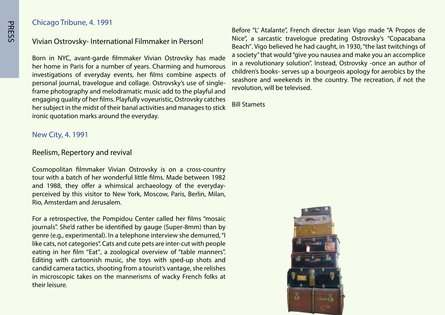#### Chicago Tribune, 4. 1991

#### Vivian Ostrovsky- International Filmmaker in Person!

Born in NYC, avant-garde filmmaker Vivian Ostrovsky has made her home in Paris for a number of vears. Charming and humorous investigations of everyday events, her films combine aspects of frame photography and melodramatic music add to the playful and personal journal, travelogue and collage. Ostrovsky's use of singleengaging quality of her films. Playfully voyeuristic, Ostrovsky catches her subject in the midst of their banal activities and manages to stick ironic quotation marks around the everyday.

New City, 4. 1991

#### Reelism, Repertory and revival

Cosmopolitan filmmaker Vivian Ostrovsky is on a cross-country tour with a batch of her wonderful little films. Made between 1982 perceived by this visitor to New York, Moscow, Paris, Berlin, Milan, and 1988, they offer a whimsical archaeology of the everyday-Rio, Amsterdam and Jerusalem.

For a retrospective, the Pompidou Center called her films "mosaic journals". She'd rather be identified by gauge (Super-8mm) than by genre (e.g., experimental). In a telephone interview she demurred, "I like cats, not categories". Cats and cute pets are inter-cut with people eating in her film "Eat", a zoological overview of "table manners". Editing with cartoonish music, she toys with sped-up shots and candid camera tactics, shooting from a tourist's vantage, she relishes in microscopic takes on the mannerisms of wacky French folks at their leisure.

Before "L' Atalante", French director Jean Vigo made "A Propos de Nice", a sarcastic travelogue predating Ostrovsky's "Copacabana Beach". Vigo believed he had caught, in 1930, "the last twitchings of a society" that would "give you nausea and make you an accomplice in a revolutionary solution". Instead, Ostrovsky -once an author of children's books- serves up a bourgeois apology for aerobics by the seashore and weekends in the country. The recreation, if not the revolution, will be televised.

**Bill Stamets** 

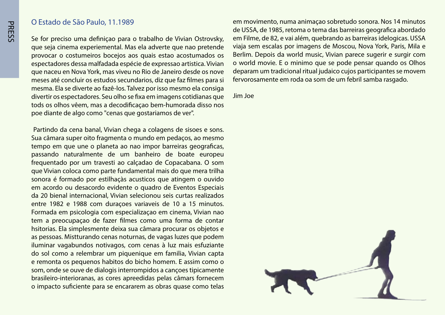#### O Estado de São Paulo. 11.1989

Se for preciso uma definiçao para o trabalho de Vivian Ostrovsky, que seja cinema experiemental. Mas ela adverte que nao pretende provocar o costumeiros bocejos aos quais estao acostumados os espectadores dessa malfadada espécie de expressao artistica. Vivian que naceu en Nova York, mas viveu no Rio de Janeiro desde os nove meses até concluir os estudos secundarios, diz que faz filmes para si mesma. Ela se diverte ao fazê-los. Talvez por isso mesmo ela consiga divertir os espectadores. Seu olho se fixa em imagens cotidianas que tods os olhos vêem, mas a decodificação bem-humorada disso nos poe diante de algo como "cenas que gostariamos de ver".

Partindo da cena banal, Vivian chega a colagens de sisoes e sons. Sua câmara super oito fragmenta o mundo em pedaços, ao mesmo tempo em que une o planeta ao nao impor barreiras geograficas, passando naturalmente de um banheiro de boate europeu frequentado por um travesti ao calçadao de Copacabana. O som que Vivian coloca como parte fundamental mais do que mera trilha sonora é formado por estilhaçàs acusticos que atingem o ouvido em acordo ou desacordo evidente o quadro de Eventos Especiais da 20 bienal internacional, Vivian selecionou seis curtas realizados entre 1982 e 1988 com duraçoes variaveis de 10 a 15 minutos. Formada em psicologia com especialização em cinema, Vivian não tem a preocupação de fazer filmes como uma forma de contar hsitorias. Ela simplesmente deixa sua câmara procurar os objetos e as pessoas. Mistturando cenas noturnas, de vagas luzes que podem iluminar vagabundos notivagos, com cenas à luz mais esfuziante do sol como a relembrar um piquenique em familia, Vivian capta e remonta os pequenos habitos do bicho homem. E assim como o som, onde se ouve de dialogis interrompidos a cançoes tipicamente brasileiro-interioranas, as cores apreedidas pelas câmars fornecem o impacto suficiente para se encararem as obras quase como telas

em movimento, numa animação sobretudo sonora. Nos 14 minutos de USSA, de 1985, retoma o tema das barreiras geografica abordado em Filme, de 82, e vai além, quebrando as barreiras idelogicas. USSA viaja sem escalas por imagens de Moscou, Nova York, Paris, Mila e Berlim. Depois da world music, Vivian parece sugerir e surgir com o world movie. E o minimo que se pode pensar quando os Olhos deparam um tradicional ritual judaico cujos participantes se movem fervorosamente em roda oa som de um febril samba rasgado.

Jim Joe

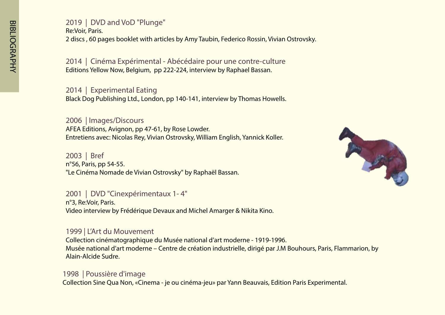#### 2019 | DVD and VoD "Plunge" Re: Voir, Paris. 2 discs, 60 pages booklet with articles by Amy Taubin, Federico Rossin, Vivian Ostrovsky.

2014 | Cinéma Expérimental - Abécédaire pour une contre-culture Editions Yellow Now, Belgium, pp 222-224, interview by Raphael Bassan.

2014 | Experimental Eating Black Dog Publishing Ltd., London, pp 140-141, interview by Thomas Howells.

2006 | Images/Discours AFEA Editions, Avignon, pp 47-61, by Rose Lowder. Entretiens avec: Nicolas Rey, Vivian Ostrovsky, William English, Yannick Koller.

2003 | Bref n°56, Paris, pp 54-55. "Le Cinéma Nomade de Vivian Ostrovsky" by Raphaël Bassan.



#### 2001 | DVD "Cinexpérimentaux 1-4"

n°3, Re:Voir, Paris. Video interview by Frédérique Devaux and Michel Amarger & Nikita Kino.

#### 1999 L'Art du Mouvement

Collection cinématographique du Musée national d'art moderne - 1919-1996. by Musée national d'art moderne – Centre de création industrielle, dirigé par J.M Bouhours, Paris, Flammarion, by Alain-Alcide Sudre.

# 1998 | Poussière d'image

Collection Sine Qua Non, «Cinema - je ou cinéma-jeu» par Yann Beauvais, Edition Paris Experimental.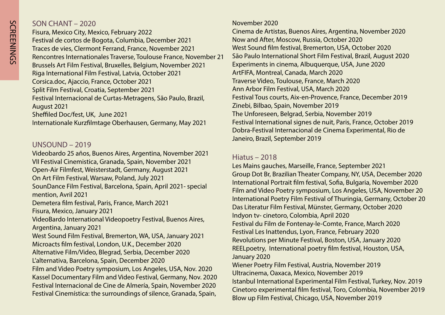#### $2020$  CHANT  $- 2020$

Fisura, Mexico City, Mexico, February 2022 Festival de cortos de Bogota, Columbia, December 2021 Traces de vies, Clermont Ferrand, France, November 2021 Rencontres Internationales Traverse, Toulouse France, November 21 Brussels Art Film Festival, Bruxelles, Belgium, November 2021 Riga International Film Festival, Latvia, October 2021 Corsica.doc, Ajaccio, France, October 2021 Split Film Festival, Croatia, September 2021 Festival Internacional de Curtas-Metragens, São Paulo, Brazil, 2021 August Sheffiled Doc/fest, UK, June 2021 Internationale Kurzfilmtage Oberhausen, Germany, May 2021

#### $UNSOLIND - 2019$

Videobardo 25 años, Buenos Aires, Argentina, November 2021 2021 VII Festival Cinemistica, Granada, Spain, November Open-Air Filmfest, Weisterstadt, Germany, August 2021 On Art Film Festival, Warsaw, Poland, July 2021 SounDance Film Festival, Barcelona, Spain, April 2021- special mention, Avril 2021 Demetera film festival, Paris, France, March 2021 Fisura, Mexico, January 2021 VideoBardo International Videopoetry Festival, Buenos Aires, Argentina, January 2021 West Sound Film Festival, Bremerton, WA, USA, January 2021 Microacts film festival, London, U.K., December 2020 Alternative Film/Video, Blegrad, Serbia, December 2020 L'alternativa, Barcelona, Spain, December 2020 Film and Video Poetry symposium, Los Angeles, USA, Nov. 2020 Kassel Documentary Film and Video Festival, Germany, Nov. 2020 Festival Internacional de Cine de Almería, Spain, November 2020 Festival Cinemística: the surroundings of silence, Granada, Spain,

#### November 2020

Cinema de Artistas, Buenos Aires, Argentina, November 2020 Now and After, Moscow, Russia, October 2020 West Sound film festival, Bremerton, USA, October 2020 São Paulo International Short Film Festival, Brazil, August 2020 Experiments in cinema, Albuquerque, USA, June 2020 ArtFIFA, Montreal, Canada, March 2020 Traverse Video, Toulouse, France, March 2020 Ann Arbor Film Festival, USA, March 2020 Festival Tous courts, Aix-en-Provence, France, December 2019 Zinebi, Bilbao, Spain, November 2019 The Unforeseen, Belgrad, Serbia, November 2019 Festival International signes de nuit, Paris, France, October 2019 Dobra-Festival Internacional de Cinema Experimental, Rio de Janeiro, Brazil, September 2019

#### **Hiatus - 2018**

Les Mains gauches, Marseille, France, September 2021 Group Dot Br, Brazilian Theater Company, NY, USA, December 2020 International Portrait film festival, Sofia, Bulgaria, November 2020 Film and Video Poetry symposium, Los Angeles, USA, November 20 International Poetry Film Festival of Thuringia, Germany, October 20 Das Literatur Film Festival, Münster, Germany, October 2020 Indyon tv- cinetoro, Colombia, April 2020 Festival du Film de Fontenay-le-Comte, France, March 2020 Festival Les Inattendus, Lyon, France, February 2020 Revolutions per Minute Festival, Boston, USA, January 2020 REELpoetry, International poetry film festival, Houston, USA, January 2020 Wiener Poetry Film Festival, Austria, November 2019 Ultracinema, Oaxaca, Mexico, November 2019 Istanbul International Experimental Film Festival, Turkey, Nov. 2019 Cinetoro experimental film festival, Toro, Colombia, November 2019 Blow up Film Festival, Chicago, USA, November 2019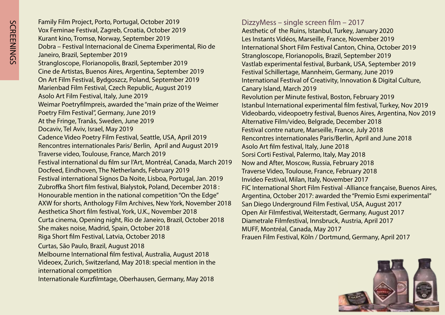Family Film Project, Porto, Portugal, October 2019 Vox Feminae Festival, Zagreb, Croatia, October 2019 Kurant kino, Tromsø, Norway, September 2019 Dobra – Festival Internacional de Cinema Experimental, Rio de Janeiro, Brazil, September 2019 Strangloscope, Florianopolis, Brazil, September 2019 Cine de Artistas, Buenos Aires, Argentina, September 2019 On Art Film Festival, Bydgoszcz, Poland, September 2019 Marienbad Film Festival, Czech Republic, August 2019 Asolo Art Film Festival, Italy, June 2019 Weimar Poetryfilmpreis, awarded the "main prize of the Weimer Poetry Film Festival", Germany, June 2019 At the Fringe, Tranås, Sweden, June 2019 Docaviv, Tel Aviv, Israel, May 2019 Cadence Video Poetry Film Festival, Seattle, USA, April 2019 Rencontres internationales Paris/ Berlin, April and August 2019 Traverse video, Toulouse, France, March 2019 Festival international du film sur l'Art, Montréal, Canada, March 2019 Docfeed, Eindhoven, The Netherlands, February 2019 Festival international Signos Da Noite, Lisboa, Portugal, Jan. 2019 Zubroffka Short film festival, Bialystok, Poland, December 2018: Honourable mention in the national competition "On the Edge" AXW for shorts, Anthology Film Archives, New York, November 2018 Aesthetica Short film festival, York, U.K., November 2018 Curta cinema, Opening night, Rio de Janeiro, Brazil, October 2018 She makes noise, Madrid, Spain, October 2018 Riga Short film Festival, Latvia, October 2018 Curtas, São Paulo, Brazil, August 2018 Melbourne International film festival, Australia, August 2018 Videoex, Zurich, Switzerland, May 2018: special mention in the international competition Internationale Kurzfilmtage, Oberhausen, Germany, May 2018

DizzyMess – single screen film – 2017 Aesthetic of the Ruins, Istanbul, Turkey, January 2020 Les Instants Vidéos, Marseille, France, November 2019 International Short Film Festival Canton, China, October 2019 Strangloscope, Florianopolis, Brazil, September 2019 Vastlab experimental festival, Burbank, USA, September 2019 Festival Schillertage, Mannheim, Germany, June 2019 International Festival of Creativity, Innovation & Digital Culture, Canary Island, March 2019 Revolution per Minute festival, Boston, February 2019 Istanbul International experimental film festival, Turkey, Nov 2019 Videobardo, videopoetry festival, Buenos Aires, Argentina, Nov 2019 Alternative Film/video, Belgrade, December 2018 Festival contre nature, Marseille, France, July 2018 Rencontres internationales Paris/Berlin, April and June 2018 Asolo Art film festival, Italy, June 2018 Sorsi Corti Festival, Palermo, Italy, May 2018 Now and After, Moscow, Russia, February 2018 Traverse Video, Toulouse, France, February 2018 Invideo Festival, Milan, Italy, November 2017 FIC International Short Film Festival - Alliance française, Buenos Aires, Argentina, October 2017: awarded the "Premio Esmi experimental" San Diego Underground Film Festival, USA, August 2017 Open Air Filmfestival, Weiterstadt, Germany, August 2017 Diametrale Filmfestival, Innsbruck, Austria, April 2017 MUFF, Montréal, Canada, May 2017 Frauen Film Festival, Köln / Dortmund, Germany, April 2017

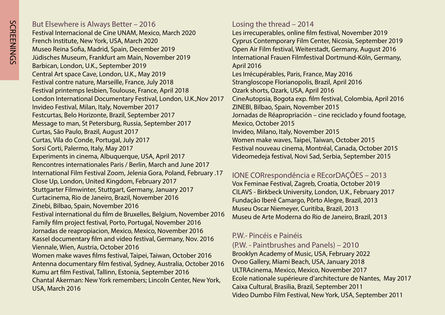But Elsewhere is Always Better - 2016 Festival Internacional de Cine UNAM, Mexico, March 2020 French Institute, New York, USA, March 2020 Museo Reina Sofia, Madrid, Spain, December 2019 Jüdisches Museum, Frankfurt am Main, November 2019 Barbican, London, U.K., September 2019 Central Art space Cave, London, U.K., May 2019 Festival contre nature, Marseille, France, July 2018 Festival printemps lesbien, Toulouse, France, April 2018 London International Documentary Festival, London, U.K., Nov 2017 Invideo Festival, Milan, Italy, November 2017 Festcurtas, Belo Horizonte, Brazil, September 2017 Message to man, St Petersburg, Russia, September 2017 Curtas, São Paulo, Brazil, August 2017 Curtas, Vila do Conde, Portugal, July 2017 Sorsi Corti, Palermo, Italy, May 2017 Experiments in cinema, Albuquerque, USA, April 2017 Rencontres internationales Paris / Berlin, March and June 2017 17. International Film Festival Zoom, Jelenia Gora, Poland, February Close Up, London, United Kingdom, February 2017 Stuttgarter Filmwinter, Stuttgart, Germany, January 2017 Curtacinema, Rio de Janeiro, Brazil, November 2016 Zinebi, Bilbao, Spain, November 2016 Festival international du film de Bruxelles, Belgium, November 2016 Family film project festival, Porto, Portugal, November 2016 Jornadas de reapropiacion, Mexico, Mexico, November 2016 Kassel documentary film and video festival, Germany, Nov. 2016 Viennale, Wien, Austria, October 2016 Women make waves films festival, Taipei, Taiwan, October 2016 Antenna documentary film festival, Sydney, Australia, October 2016 Kumu art film Festival, Tallinn, Estonia, September 2016 Chantal Akerman: New York remembers; Lincoln Center, New York, USA, March 2016

Losing the thread  $-2014$ 

Les irrecuperables, online film festival, November 2019 Cyprus Contemporary Film Center, Nicosia, September 2019 Open Air Film festival, Weiterstadt, Germany, August 2016 International Frauen Filmfestival Dortmund-Köln, Germany, 2016 April Les Irrécupérables, Paris, France, May 2016 Strangloscope Florianopolis, Brazil, April 2016 Ozark shorts, Ozark, USA, April 2016 CineAutopsia, Bogota exp. film festival, Colombia, April 2016 ZINEBI, Bilbao, Spain, November 2015 Jornadas de Réapropriación – cine reciclado y found footage, Mexico, October 2015 Invideo, Milano, Italy, November 2015 Women make waves, Taipei, Taiwan, October 2015 Festival nouveau cinema, Montréal, Canada, October 2015 Videomedeja festival, Novi Sad, Serbia, September 2015

IONE CORrespondência e REcorDAÇÕES – 2013 Vox Feminae Festival, Zagreb, Croatia, October 2019 CILAVS - Birkbeck University, London, U.K., February 2017 Fundação Iberê Camargo, Pôrto Alegre, Brazil, 2013 Museu Oscar Niemeyer, Curitiba, Brazil, 2013 Museu de Arte Moderna do Rio de Janeiro, Brazil, 2013

#### P.W. - Pincéis e Painéis

 $(P.W. - Paintbrushes and Panels) - 2010$ Brooklyn Academy of Music, USA, February 2022 Ovoo Gallery, Miami Beach, USA, January 2018 ULTRAcinema, Mexico, Mexico, November 2017 Ecole nationale supérieure d'architecture de Nantes, May 2017 Caixa Cultural, Brasilia, Brazil, September 2011 Video Dumbo Film Festival, New York, USA, September 2011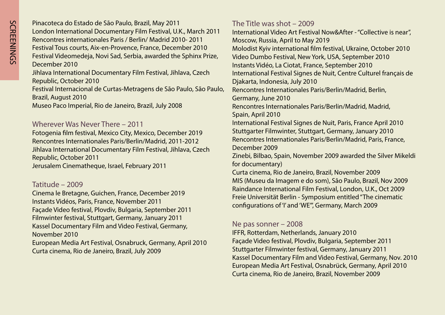Pinacoteca do Estado de São Paulo, Brazil, May 2011 London International Documentary Film Festival, U.K., March 2011 Rencontres internationales Paris / Berlin / Madrid 2010-2011 Festival Tous courts, Aix-en-Provence, France, December 2010 Festival Videomedeia, Novi Sad, Serbia, awarded the Sphinx Prize, December 2010 Jihlava International Documentary Film Festival, Jihlava, Czech Republic, October 2010 Festival Internacional de Curtas-Metragens de São Paulo, São Paulo, Brazil, August 2010 Museo Paco Imperial, Rio de Janeiro, Brazil, July 2008

#### Wherever Was Never There  $-2011$

Fotogenia film festival, Mexico City, Mexico, December 2019 Rencontres Internationales Paris/Berlin/Madrid, 2011-2012 Jihlava International Documentary Film Festival, Jihlava, Czech Republic, October 2011 Jerusalem Cinematheque, Israel, February 2011

#### Tatitude – 2009

Cinema le Bretagne, Guichen, France, December 2019 Instants Vidéos, Paris, France, November 2011 Façade Video festival, Plovdiv, Bulgaria, September 2011 Filmwinter festival, Stuttgart, Germany, January 2011 Kassel Documentary Film and Video Festival, Germany, November 2010 European Media Art Festival, Osnabruck, Germany, April 2010

Curta cinema, Rio de Janeiro, Brazil, July 2009

The Title was shot  $-2009$ 

International Video Art Festival Now & After - "Collective is near", Moscow, Russia, April to May 2019 Molodist Kviv international film festival, Ukraine, October 2010 Video Dumbo Festival, New York, USA, September 2010 Instants Vidéo, La Ciotat, France, September 2010 International Festival Signes de Nuit, Centre Culturel français de Djakarta, Indonesia, July 2010 Rencontres Internationales Paris/Berlin/Madrid, Berlin, Germany, June 2010 Rencontres Internationales Paris/Berlin/Madrid, Madrid, Spain, April 2010 International Festival Signes de Nuit, Paris, France April 2010 Stuttgarter Filmwinter, Stuttgart, Germany, January 2010 Rencontres Internationales Paris/Berlin/Madrid, Paris, France, 2009 December Zinebi, Bilbao, Spain, November 2009 awarded the Silver Mikeldi for documentary) Curta cinema, Rio de Janeiro, Brazil, November 2009 MIS (Museu da Imagem e do som), São Paulo, Brazil, Nov 2009 Raindance International Film Festival, London, U.K., Oct 2009 Freie Universität Berlin - Symposium entitled "The cinematic configurations of 'I' and 'WE'", Germany, March 2009

#### Ne pas sonner  $-2008$

IFFR, Rotterdam, Netherlands, January 2010 Façade Video festival, Plovdiv, Bulgaria, September 2011 Stuttgarter Filmwinter festival, Germany, January 2011 Kassel Documentary Film and Video Festival, Germany, Nov. 2010 European Media Art Festival, Osnabrück, Germany, April 2010 Curta cinema, Rio de Janeiro, Brazil, November 2009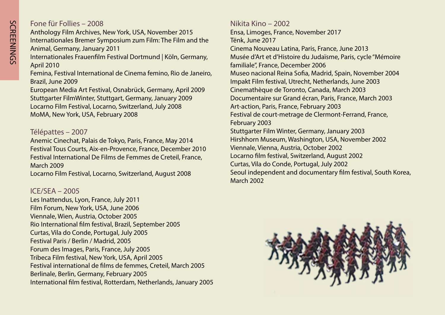## Fone für Follies - 2008

Anthology Film Archives, New York, USA, November 2015 Internationales Bremer Symposium zum Film: The Film and the Animal, Germany, January 2011

Internationales Frauenfilm Festival Dortmund | Köln, Germany, 2010 April

Femina, Festival International de Cinema femino, Rio de Janeiro, Brazil, June 2009

European Media Art Festival, Osnabrück, Germany, April 2009 Stuttgarter FilmWinter, Stuttgart, Germany, January 2009 Locarno Film Festival, Locarno, Switzerland, July 2008 MoMA, New York, USA, February 2008

#### 2007 – Télépattes

Anemic Cinechat, Palais de Tokyo, Paris, France, May 2014 Festival Tous Courts, Aix-en-Provence, France, December 2010 Festival International De Films de Femmes de Creteil, France, **March 2009** 

Locarno Film Festival, Locarno, Switzerland, August 2008

#### $ICE/SEA - 2005$

Les Inattendus, Lyon, France, July 2011 Film Forum, New York, USA, June 2006 Viennale, Wien, Austria, October 2005 Rio International film festival, Brazil, September 2005 Curtas, Vila do Conde, Portugal, July 2005 Festival Paris / Berlin / Madrid, 2005 Forum des Images, Paris, France, July 2005 Tribeca Film festival, New York, USA, April 2005 Festival international de films de femmes, Creteil, March 2005 Berlinale, Berlin, Germany, February 2005 International film festival, Rotterdam, Netherlands, January 2005 Nikita Kino - 2002 Ensa, Limoges, France, November 2017 Tënk, June 2017 Cinema Nouveau Latina, Paris, France, June 2013 Musée d'Art et d'Histoire du Judaïsme, Paris, cycle "Mémoire' familiale", France, December 2006 Museo nacional Reina Sofia, Madrid, Spain, November 2004 Impakt Film festival, Utrecht, Netherlands, June 2003 Cinemathèque de Toronto, Canada, March 2003 Documentaire sur Grand écran, Paris, France, March 2003 Art-action, Paris, France, February 2003 Festival de court-metrage de Clermont-Ferrand, France, 2003 February Stuttgarter Film Winter, Germany, January 2003 Hirshhorn Museum, Washington, USA, November 2002 Viennale, Vienna, Austria, October 2002 Locarno film festival, Switzerland, August 2002 Curtas, Vila do Conde, Portugal, July 2002 Seoul independent and documentary film festival, South Korea, 2002 March

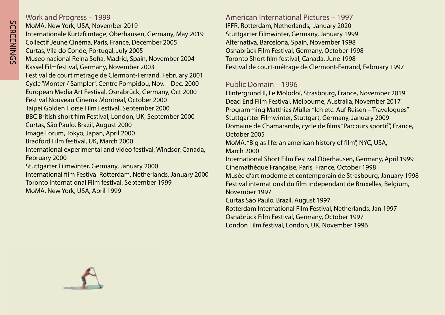#### Work and Progress - 1999

SCREENINGS

**SCREENINGS** 

MoMA, New York, USA, November 2019 Internationale Kurtzfilmtage, Oberhausen, Germany, May 2019 Collectif Jeune Cinéma, Paris, France, December 2005 Curtas, Vila do Conde, Portugal, July 2005 Museo nacional Reina Sofia, Madrid, Spain, November 2004 Kassel Filmfestival, Germany, November 2003 Festival de court metrage de Clermont-Ferrand, February 2001 Cycle "Monter / Sampler", Centre Pompidou, Nov. - Dec. 2000 European Media Art Festival, Osnabrück, Germany, Oct 2000 Festival Nouveau Cinema Montréal, October 2000 Taipei Golden Horse Film Festival, September 2000 BBC British short film Festival, London, UK, September 2000 Curtas, São Paulo, Brazil, August 2000 Image Forum, Tokyo, Japan, April 2000 Bradford Film festival, UK, March 2000 International experimental and video festival, Windsor, Canada, February 2000 Stuttgarter Filmwinter, Germany, January 2000 International film Festival Rotterdam, Netherlands, January 2000 Toronto international Film festival, September 1999 MoMA, New York, USA, April 1999

American International Pictures - 1997 IFFR, Rotterdam, Netherlands, January 2020 Stuttgarter Filmwinter, Germany, January 1999 Alternativa, Barcelona, Spain, November 1998 Osnabrück Film Festival, Germany, October 1998 Toronto Short film festival, Canada, June 1998 Festival de court-métrage de Clermont-Ferrand, February 1997

#### Public Domain - 1996

Hintergrund II, Le Molodoï, Strasbourg, France, November 2019 Dead End Film Festival, Melbourne, Australia, November 2017 Programming Matthias Müller "Ich etc. Auf Reisen - Travelogues" Stuttgartter Filmwinter, Stuttgart, Germany, January 2009 Domaine de Chamarande, cycle de films "Parcours sportif", France, 2005 October MoMA, "Big as life: an american history of film", NYC, USA, March 2000 International Short Film Festival Oberhausen, Germany, April 1999 Cinemathèque Française, Paris, France, October 1998 Musée d'art moderne et contemporain de Strasbourg, January 1998 Festival international du film independant de Bruxelles, Belgium, 1997 November Curtas São Paulo, Brazil, August 1997 Rotterdam International Film Festival, Netherlands, Jan 1997 Osnabrück Film Festival, Germany, October 1997

London Film festival, London, UK, November 1996

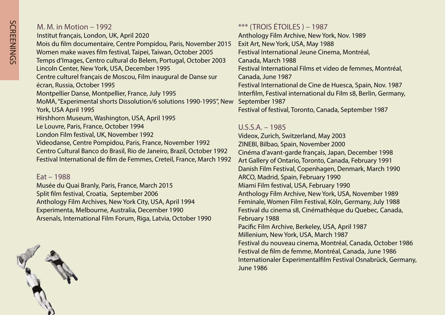|  | M. M. in Motion – 1992 |  |
|--|------------------------|--|
|--|------------------------|--|

Institut français, London, UK, April 2020 2015 Nois du film documentaire, Centre Pompidou, Paris, November Women make waves film festival, Taipei, Taiwan, October 2005 Temps d'Images, Centro cultural do Belem, Portugal, October 2003 Lincoln Center, New York, USA, December 1995 Centre culturel français de Moscou, Film inaugural de Danse sur écran, Russia, October 1995 Montpellier Danse, Montpellier, France, July 1995 MoMA, "Experimental shorts Dissolution/6 solutions 1990-1995", New York, USA April 1995 Hirshhorn Museum, Washington, USA, April 1995 Le Louvre, Paris, France, October 1994 London Film festival, UK, November 1992 Videodanse, Centre Pompidou, Paris, France, November 1992 Centro Cultural Banco do Brasil, Rio de Janeiro, Brazil, October 1992

Festival International de film de Femmes, Creteil, France, March 1992

#### $Fat - 1988$

Musée du Quai Branly, Paris, France, March 2015 Split film festival, Croatia, September 2006 Anthology Film Archives, New York City, USA, April 1994 Experimenta, Melbourne, Australia, December 1990 Arsenals, International Film Forum, Riga, Latvia, October 1990

 $***$  (TROIS ÉTOILES) – 1987 Anthology Film Archive, New York, Nov. 1989 Exit Art, New York, USA, May 1988 Festival International Jeune Cinema, Montréal, Canada, March 1988 Festival International Films et video de femmes, Montréal, Canada, June 1987 Festival International de Cine de Huesca, Spain, Nov. 1987 Interfilm, Festival international du Film s8, Berlin, Germany, 1987 September Festival of festival, Toronto, Canada, September 1987

#### $U.S.S.A. - 1985$

Videox, Zurich, Switzerland, May 2003 ZINEBI, Bilbao, Spain, November 2000 Cinéma d'avant-garde français, Japan, December 1998 Art Gallery of Ontario, Toronto, Canada, February 1991 Danish Film Festival, Copenhagen, Denmark, March 1990 ARCO, Madrid, Spain, February 1990 Miami Film festival, USA, February 1990 Anthology Film Archive, New York, USA, November 1989 Feminale, Women Film Festival, Köln, Germany, July 1988 Festival du cinema s8, Cinémathèque du Quebec, Canada, 1988 February Pacific Film Archive, Berkeley, USA, April 1987 Millenium, New York, USA, March 1987 Festival du nouveau cinema, Montréal, Canada, October 1986 Festival de film de femme, Montréal, Canada, June 1986 Internationaler Experimentalfilm Festival Osnabrück, Germany, June 1986

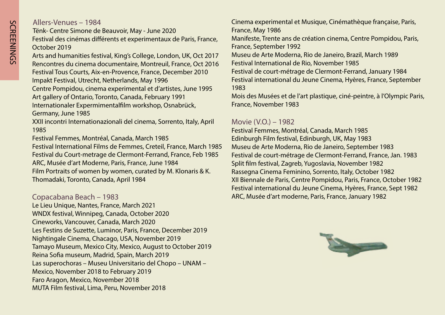#### Allers-Venues – 1984

Tënk- Centre Simone de Beauvoir, May - June 2020 Festival des cinémas différents et experimentaux de Paris, France, 2019 October

Arts and humanities festival, King's College, London, UK, Oct 2017 Rencontres du cinema documentaire, Montreuil, France, Oct 2016 Festival Tous Courts, Aix-en-Provence, France, December 2010 Impakt Festival, Utrecht, Netherlands, May 1996

Centre Pompidou, cinema experimental et d'artistes, June 1995 Art gallery of Ontario, Toronto, Canada, February 1991

Internationaler Expermimentalfilm workshop, Osnabrück,

Germany, June 1985

XXII incontri Internationazionali del cinema, Sorrento, Italy, April 1985

Festival Femmes, Montréal, Canada, March 1985

Festival International Films de Femmes, Creteil, France, March 1985 Festival du Court-metrage de Clermont-Ferrand, France, Feb 1985 ARC, Musée d'art Moderne, Paris, France, June 1984 Film Portraits of women by women, curated by M. Klonaris & K. Thomadaki, Toronto, Canada, April 1984

#### Copacabana Beach - 1983

Le Lieu Unique, Nantes, France, March 2021 WNDX festival, Winnipeg, Canada, October 2020 Cineworks, Vancouver, Canada, March 2020 Les Festins de Suzette, Luminor, Paris, France, December 2019 Nightingale Cinema, Chacago, USA, November 2019 Tamayo Museum, Mexico City, Mexico, August to October 2019 Reina Sofia museum, Madrid, Spain, March 2019 Las superochoras – Museu Universitario del Chopo – UNAM – Mexico, November 2018 to February 2019 Faro Aragon, Mexico, November 2018 MUTA Film festival, Lima, Peru, November 2018

Cinema experimental et Musique, Cinémathèque française, Paris, France, May 1986 Manifeste, Trente ans de création cinema, Centre Pompidou, Paris, France, September 1992 Museu de Arte Moderna, Rio de Janeiro, Brazil, March 1989 Festival International de Rio, November 1985 Festival de court-métrage de Clermont-Ferrand, January 1984 Festival international du Jeune Cinema, Hyères, France, September 1983

Mois des Musées et de l'art plastique, ciné-peintre, à l'Olympic Paris, France, November 1983

#### Movie (V.O.) – 1982

Festival Femmes, Montréal, Canada, March 1985 Edinburgh Film festival, Edinburgh, UK, May 1983 Museu de Arte Moderna, Rio de Janeiro, September 1983 Festival de court-métrage de Clermont-Ferrand, France, Jan. 1983 Split film festival, Zagreb, Yugoslavia, November 1982 Rassegna Cinema Feminino, Sorrento, Italy, October 1982 XII Biennale de Paris, Centre Pompidou, Paris, France, October 1982 Festival international du Jeune Cinema, Hyères, France, Sept 1982 ARC, Musée d'art moderne, Paris, France, January 1982

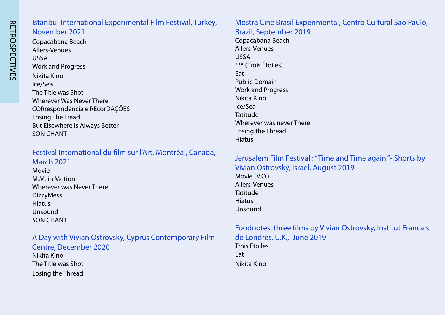# Istanbul International Experimental Film Festival, Turkey, November 2021

Copacabana Beach Allers-Venues USSA **Work and Progress** Nikita Kino Ice/Sea The Title was Shot Wherever Was Never There CORrespondência e REcorDAÇÕES Losing The Tread But Elsewhere Is Always Better SON CHANT

# Festival International du film sur l'Art, Montréal, Canada, **March 2021**

Movie M.M. in Motion Wherever was Never There **DizzyMess Hiatus** Unsound **SON CHANT** 

#### A Day with Vivian Ostrovsky, Cyprus Contemporary Film Centre, December 2020

Nikita Kino The Title was Shot Losing the Thread

#### Mostra Cine Brasil Experimental, Centro Cultural São Paulo, Brazil, September 2019

Copacabana Beach Allers-Venues USSA \*\*\* (Trois Étoiles) **Fat Public Domain** Work and Progress Nikita Kino Ice/Sea Tatitude Wherever was never There Losing the Thread Hiatus

#### Jerusalem Film Festival : "Time and Time again "- Shorts by Vivian Ostrovsky, Israel, August 2019 Movie (V.O.) Allers-Venues Tatitude **Hiatus** Unsound

#### Foodnotes: three films by Vivian Ostrovsky, Institut Français de Londres, U.K., June 2019 Trois Étoiles Eat Nikita Kino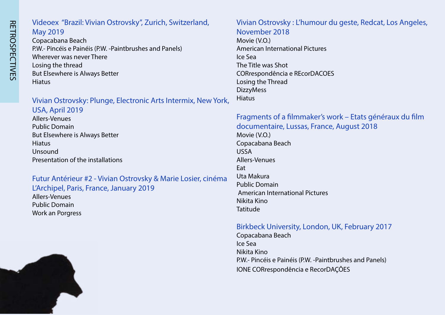# Videoex "Brazil: Vivian Ostrovsky", Zurich, Switzerland, **May 2019**

Copacabana Beach P.W.- Pincéis e Painéis (P.W. -Paintbrushes and Panels) Wherever was never There Losing the thread But Elsewhere is Always Better Hiatus

#### Vivian Ostrovsky: Plunge, Electronic Arts Intermix, New York,  $IISA$  April 2019

#### Futur Antérieur #2 - Vivian Ostrovsky & Marie Losier, cinéma L'Archipel, Paris, France, January 2019

Allers-Venues **Public Domain** Work an Porgress



Vivian Ostrovsky : L'humour du geste, Redcat, Los Angeles, November 2018 Movie (V.O.)

**American International Pictures** Sea Ice The Title was Shot CORrespondência e REcorDACOES Losing the Thread **DizzyMess** Hiatus

#### Fragments of a filmmaker's work – Etats généraux du film documentaire, Lussas, France, August 2018 Movie (V.O.) Copacabana Beach USSA Allers-Venues Eat Uta Makura

**Public Domain** American International Pictures Nikita Kino Tatitude

## Birkbeck University, London, UK, February 2017

Copacabana Beach Sea Ice Nikita Kino P.W. - Pincéis e Painéis (P.W. - Paintbrushes and Panels) IONE CORrespondência e RecorDAÇÕES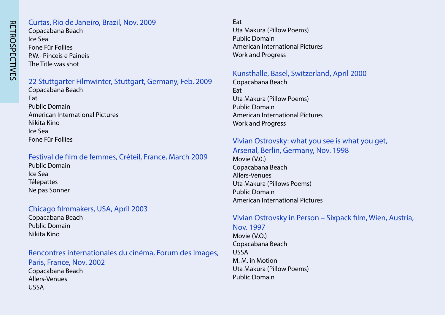#### Curtas, Rio de Janeiro, Brazil, Nov. 2009 Copacabana Beach Ice Sea Fone Für Follies

PW - Pinceis e Paineis The Title was shot

#### 22 Stuttgarter Filmwinter, Stuttgart, Germany, Feb. 2009

Copacabana Beach Eat **Public Domain** American International Pictures Nikita Kino Ice Sea Fone Für Follies

#### Festival de film de femmes, Créteil, France, March 2009

**Public Domain**  Sea Ice **Télepattes** Ne pas Sonner

#### Chicago filmmakers, USA, April 2003

Copacabana Beach **Public Domain** Nikita Kino

#### Rencontres internationales du cinéma, Forum des images, Paris, France, Nov. 2002 Copacabana Beach Allers-Venues USSA

Eat Uta Makura (Pillow Poems) **Public Domain** American International Pictures Work and Progress

#### Kunsthalle, Basel, Switzerland, April 2000

Copacabana Beach Eat Uta Makura (Pillow Poems) **Public Domain** American International Pictures Work and Progress

# Vivian Ostrovsky: what you see is what you get,

Arsenal, Berlin, Germany, Nov. 1998 Movie  $(V.0.)$ Copacabana Beach Allers-Venues Uta Makura (Pillows Poems) **Public Domain** American International Pictures

#### Vivian Ostrovsky in Person – Sixpack film, Wien, Austria,

Nov. 1997 Movie (V.O.) Copacabana Beach USSA M. M. in Motion Uta Makura (Pillow Poems) **Public Domain**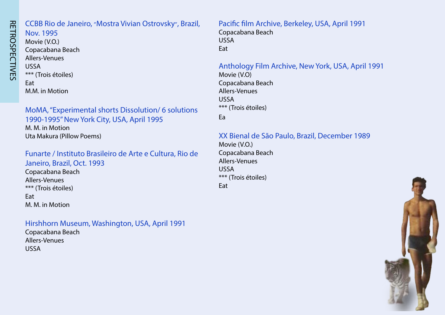# **RETROSPECTIVES** RETROSPECTIVES

# CCBB Rio de Janeiro, "Mostra Vivian Ostrovsky", Brazil,

Nov. 1995 Movie (V.O.) Copacabana Beach Allers-Venues USSA \*\*\* (Trois étoiles) Eat M.M. in Motion

MoMA, "Experimental shorts Dissolution/ 6 solutions 1990-1995" New York City, USA, April 1995 M. M. in Motion Uta Makura (Pillow Poems)

Funarte / Instituto Brasileiro de Arte e Cultura, Rio de Janeiro, Brazil, Oct. 1993

Copacabana Beach Allers-Venues \*\*\* (Trois étoiles) Eat M. M. in Motion

#### Hirshhorn Museum, Washington, USA, April 1991

Copacabana Beach Allers-Venues USSA

Pacific film Archive, Berkeley, USA, April 1991 Copacabana Beach USSA Eat

Anthology Film Archive, New York, USA, April 1991 Movie (V.O) Copacabana Beach

Allers-Venues USSA \*\*\* (Trois étoiles)

Ea

XX Bienal de São Paulo, Brazil, December 1989

Movie (V.O.) Copacabana Beach Allers-Venues USSA \*\*\* (Trois étoiles) Eat

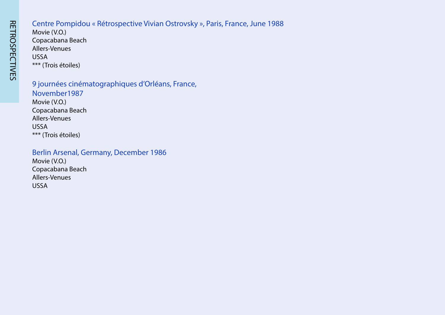# Centre Pompidou « Rétrospective Vivian Ostrovsky », Paris, France, June 1988

Movie (V.O.) Copacabana Beach Allers-Venues USSA \*\*\* (Trois étoiles)

9 journées cinématographiques d'Orléans, France, November1987 Movie (V.O.) Copacabana Beach Allers-Venues USSA \*\*\* (Trois étoiles)

#### Berlin Arsenal, Germany, December 1986

Movie (V.O.) Copacabana Beach Allers-Venues USSA